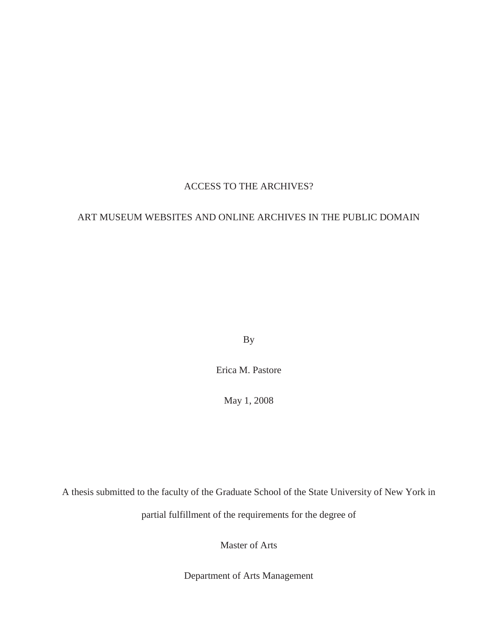# ACCESS TO THE ARCHIVES?

# ART MUSEUM WEBSITES AND ONLINE ARCHIVES IN THE PUBLIC DOMAIN

By

Erica M. Pastore

May 1, 2008

A thesis submitted to the faculty of the Graduate School of the State University of New York in

partial fulfillment of the requirements for the degree of

Master of Arts

Department of Arts Management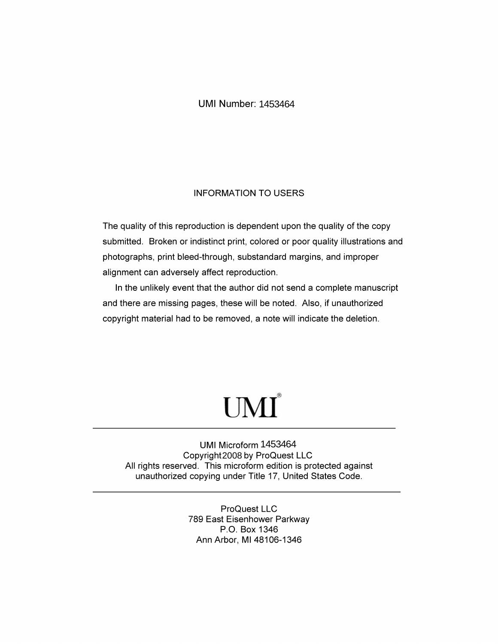# **UMI Number: 1453464**

## **INFORMATION TO USERS**

The quality of this reproduction is dependent upon the quality of the copy submitted. Broken or indistinct print, colored or poor quality illustrations and photographs, print bleed-through, substandard margins, and improper alignment can adversely affect reproduction.

In the unlikely event that the author did not send a complete manuscript and there are missing pages, these will be noted. Also, if unauthorized copyright material had to be removed, a note will indicate the deletion.

# UMI

UMI Microform 1453464 Copyright 2008 by ProQuest LLC<br>All rights reserved. This microform edition is protected against unauthorized copying under Title 17, United States Code.

> **ProQuest LLC** 789 East Eisenhower Parkway P.O. Box 1346 Ann Arbor, MI 48106-1346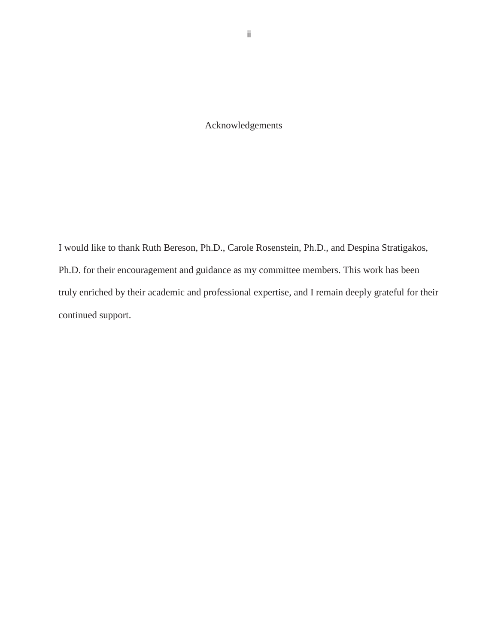Acknowledgements

I would like to thank Ruth Bereson, Ph.D., Carole Rosenstein, Ph.D., and Despina Stratigakos, Ph.D. for their encouragement and guidance as my committee members. This work has been truly enriched by their academic and professional expertise, and I remain deeply grateful for their continued support.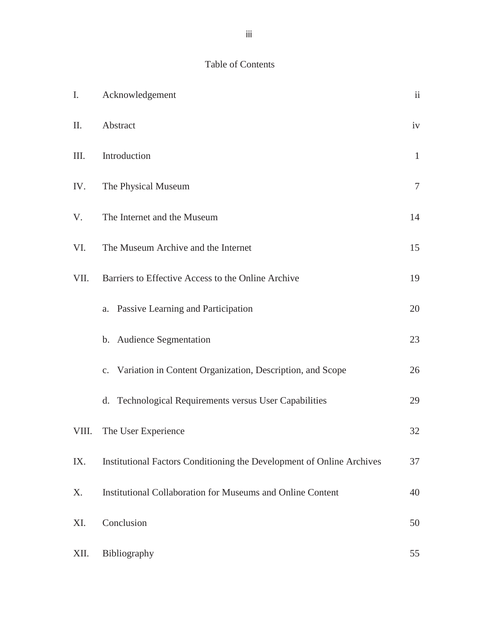# Table of Contents

| I.    | Acknowledgement                                                       | $\overline{\mathbf{1}}$ |
|-------|-----------------------------------------------------------------------|-------------------------|
| П.    | Abstract                                                              | iv                      |
| III.  | Introduction                                                          | $\mathbf{1}$            |
| IV.   | The Physical Museum                                                   | $\tau$                  |
| V.    | The Internet and the Museum                                           | 14                      |
| VI.   | The Museum Archive and the Internet                                   | 15                      |
| VII.  | Barriers to Effective Access to the Online Archive                    | 19                      |
|       | a. Passive Learning and Participation                                 | 20                      |
|       | b. Audience Segmentation                                              | 23                      |
|       | c. Variation in Content Organization, Description, and Scope          | 26                      |
|       | d. Technological Requirements versus User Capabilities                | 29                      |
| VIII. | The User Experience                                                   | 32                      |
| IX.   | Institutional Factors Conditioning the Development of Online Archives | 37                      |
| Х.    | <b>Institutional Collaboration for Museums and Online Content</b>     | 40                      |
| XI.   | Conclusion                                                            | 50                      |
| XII.  | Bibliography                                                          | 55                      |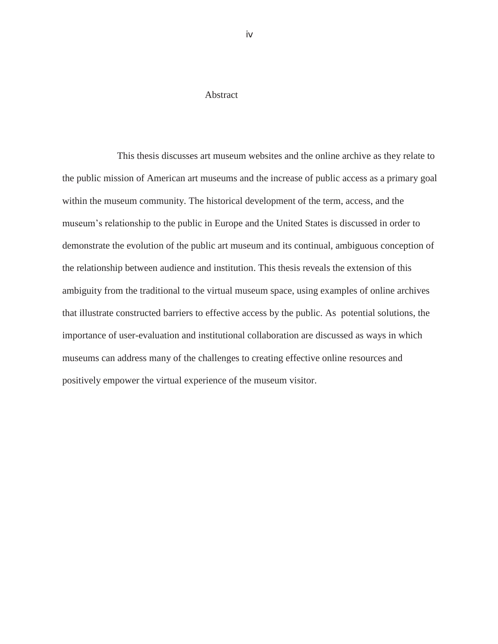#### Abstract

This thesis discusses art museum websites and the online archive as they relate to the public mission of American art museums and the increase of public access as a primary goal within the museum community. The historical development of the term, access, and the museum"s relationship to the public in Europe and the United States is discussed in order to demonstrate the evolution of the public art museum and its continual, ambiguous conception of the relationship between audience and institution. This thesis reveals the extension of this ambiguity from the traditional to the virtual museum space, using examples of online archives that illustrate constructed barriers to effective access by the public. As potential solutions, the importance of user-evaluation and institutional collaboration are discussed as ways in which museums can address many of the challenges to creating effective online resources and positively empower the virtual experience of the museum visitor.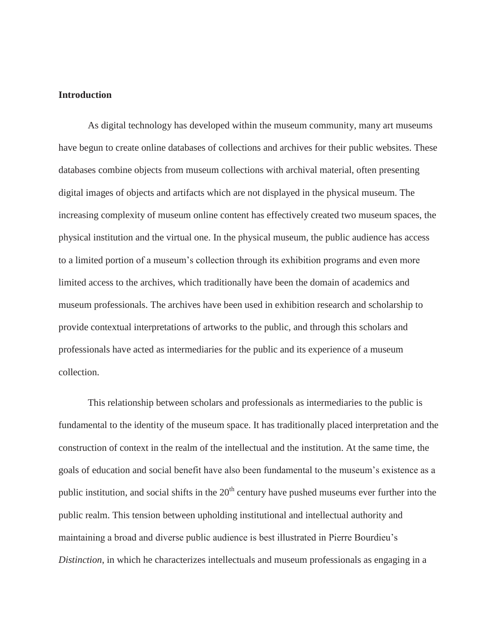## **Introduction**

As digital technology has developed within the museum community, many art museums have begun to create online databases of collections and archives for their public websites. These databases combine objects from museum collections with archival material, often presenting digital images of objects and artifacts which are not displayed in the physical museum. The increasing complexity of museum online content has effectively created two museum spaces, the physical institution and the virtual one. In the physical museum, the public audience has access to a limited portion of a museum"s collection through its exhibition programs and even more limited access to the archives, which traditionally have been the domain of academics and museum professionals. The archives have been used in exhibition research and scholarship to provide contextual interpretations of artworks to the public, and through this scholars and professionals have acted as intermediaries for the public and its experience of a museum collection.

This relationship between scholars and professionals as intermediaries to the public is fundamental to the identity of the museum space. It has traditionally placed interpretation and the construction of context in the realm of the intellectual and the institution. At the same time, the goals of education and social benefit have also been fundamental to the museum"s existence as a public institution, and social shifts in the  $20<sup>th</sup>$  century have pushed museums ever further into the public realm. This tension between upholding institutional and intellectual authority and maintaining a broad and diverse public audience is best illustrated in Pierre Bourdieu"s *Distinction*, in which he characterizes intellectuals and museum professionals as engaging in a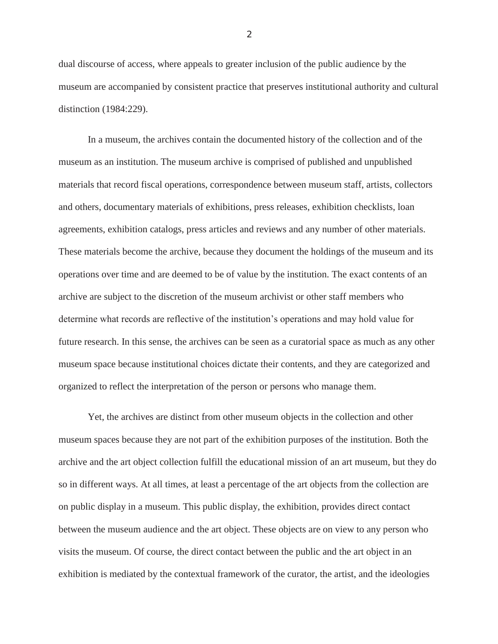dual discourse of access, where appeals to greater inclusion of the public audience by the museum are accompanied by consistent practice that preserves institutional authority and cultural distinction (1984:229).

In a museum, the archives contain the documented history of the collection and of the museum as an institution. The museum archive is comprised of published and unpublished materials that record fiscal operations, correspondence between museum staff, artists, collectors and others, documentary materials of exhibitions, press releases, exhibition checklists, loan agreements, exhibition catalogs, press articles and reviews and any number of other materials. These materials become the archive, because they document the holdings of the museum and its operations over time and are deemed to be of value by the institution. The exact contents of an archive are subject to the discretion of the museum archivist or other staff members who determine what records are reflective of the institution"s operations and may hold value for future research. In this sense, the archives can be seen as a curatorial space as much as any other museum space because institutional choices dictate their contents, and they are categorized and organized to reflect the interpretation of the person or persons who manage them.

Yet, the archives are distinct from other museum objects in the collection and other museum spaces because they are not part of the exhibition purposes of the institution. Both the archive and the art object collection fulfill the educational mission of an art museum, but they do so in different ways. At all times, at least a percentage of the art objects from the collection are on public display in a museum. This public display, the exhibition, provides direct contact between the museum audience and the art object. These objects are on view to any person who visits the museum. Of course, the direct contact between the public and the art object in an exhibition is mediated by the contextual framework of the curator, the artist, and the ideologies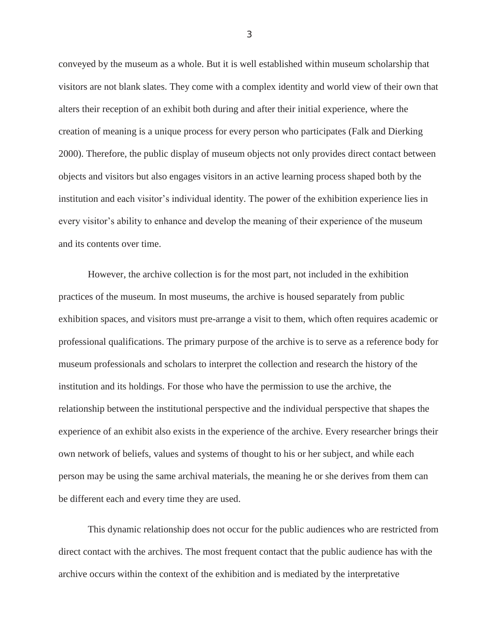conveyed by the museum as a whole. But it is well established within museum scholarship that visitors are not blank slates. They come with a complex identity and world view of their own that alters their reception of an exhibit both during and after their initial experience, where the creation of meaning is a unique process for every person who participates (Falk and Dierking 2000). Therefore, the public display of museum objects not only provides direct contact between objects and visitors but also engages visitors in an active learning process shaped both by the institution and each visitor's individual identity. The power of the exhibition experience lies in every visitor's ability to enhance and develop the meaning of their experience of the museum and its contents over time.

However, the archive collection is for the most part, not included in the exhibition practices of the museum. In most museums, the archive is housed separately from public exhibition spaces, and visitors must pre-arrange a visit to them, which often requires academic or professional qualifications. The primary purpose of the archive is to serve as a reference body for museum professionals and scholars to interpret the collection and research the history of the institution and its holdings. For those who have the permission to use the archive, the relationship between the institutional perspective and the individual perspective that shapes the experience of an exhibit also exists in the experience of the archive. Every researcher brings their own network of beliefs, values and systems of thought to his or her subject, and while each person may be using the same archival materials, the meaning he or she derives from them can be different each and every time they are used.

This dynamic relationship does not occur for the public audiences who are restricted from direct contact with the archives. The most frequent contact that the public audience has with the archive occurs within the context of the exhibition and is mediated by the interpretative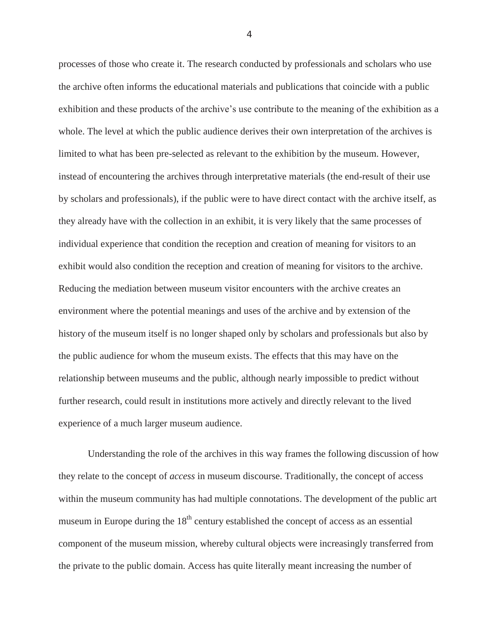processes of those who create it. The research conducted by professionals and scholars who use the archive often informs the educational materials and publications that coincide with a public exhibition and these products of the archive"s use contribute to the meaning of the exhibition as a whole. The level at which the public audience derives their own interpretation of the archives is limited to what has been pre-selected as relevant to the exhibition by the museum. However, instead of encountering the archives through interpretative materials (the end-result of their use by scholars and professionals), if the public were to have direct contact with the archive itself, as they already have with the collection in an exhibit, it is very likely that the same processes of individual experience that condition the reception and creation of meaning for visitors to an exhibit would also condition the reception and creation of meaning for visitors to the archive. Reducing the mediation between museum visitor encounters with the archive creates an environment where the potential meanings and uses of the archive and by extension of the history of the museum itself is no longer shaped only by scholars and professionals but also by the public audience for whom the museum exists. The effects that this may have on the relationship between museums and the public, although nearly impossible to predict without further research, could result in institutions more actively and directly relevant to the lived experience of a much larger museum audience.

Understanding the role of the archives in this way frames the following discussion of how they relate to the concept of *access* in museum discourse. Traditionally, the concept of access within the museum community has had multiple connotations. The development of the public art museum in Europe during the  $18<sup>th</sup>$  century established the concept of access as an essential component of the museum mission, whereby cultural objects were increasingly transferred from the private to the public domain. Access has quite literally meant increasing the number of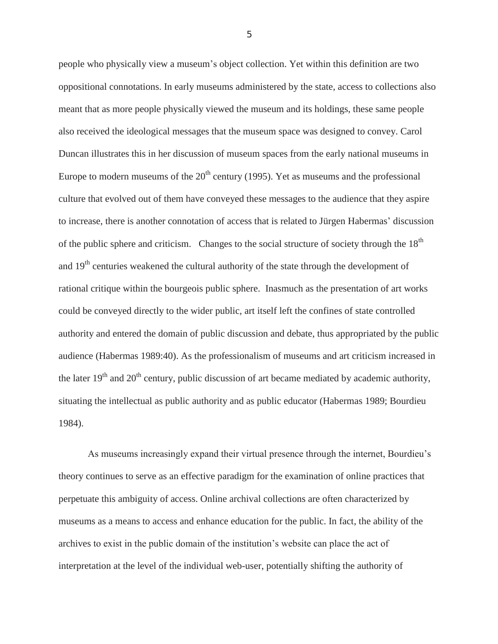people who physically view a museum"s object collection. Yet within this definition are two oppositional connotations. In early museums administered by the state, access to collections also meant that as more people physically viewed the museum and its holdings, these same people also received the ideological messages that the museum space was designed to convey. Carol Duncan illustrates this in her discussion of museum spaces from the early national museums in Europe to modern museums of the  $20<sup>th</sup>$  century (1995). Yet as museums and the professional culture that evolved out of them have conveyed these messages to the audience that they aspire to increase, there is another connotation of access that is related to Jürgen Habermas' discussion of the public sphere and criticism. Changes to the social structure of society through the  $18<sup>th</sup>$ and 19<sup>th</sup> centuries weakened the cultural authority of the state through the development of rational critique within the bourgeois public sphere. Inasmuch as the presentation of art works could be conveyed directly to the wider public, art itself left the confines of state controlled authority and entered the domain of public discussion and debate, thus appropriated by the public audience (Habermas 1989:40). As the professionalism of museums and art criticism increased in the later  $19<sup>th</sup>$  and  $20<sup>th</sup>$  century, public discussion of art became mediated by academic authority, situating the intellectual as public authority and as public educator (Habermas 1989; Bourdieu 1984).

As museums increasingly expand their virtual presence through the internet, Bourdieu"s theory continues to serve as an effective paradigm for the examination of online practices that perpetuate this ambiguity of access. Online archival collections are often characterized by museums as a means to access and enhance education for the public. In fact, the ability of the archives to exist in the public domain of the institution"s website can place the act of interpretation at the level of the individual web-user, potentially shifting the authority of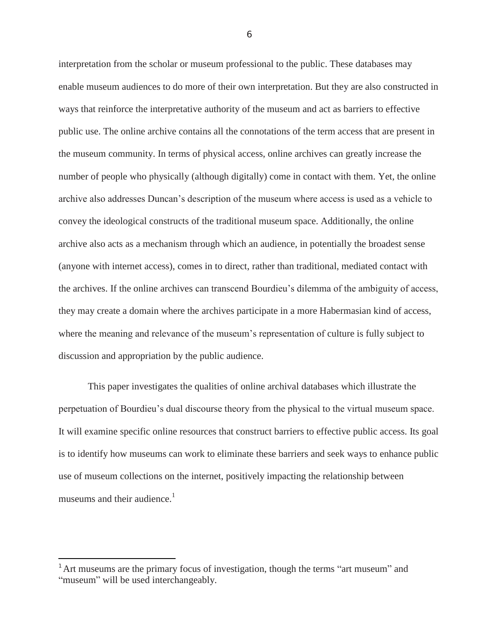interpretation from the scholar or museum professional to the public. These databases may enable museum audiences to do more of their own interpretation. But they are also constructed in ways that reinforce the interpretative authority of the museum and act as barriers to effective public use. The online archive contains all the connotations of the term access that are present in the museum community. In terms of physical access, online archives can greatly increase the number of people who physically (although digitally) come in contact with them. Yet, the online archive also addresses Duncan"s description of the museum where access is used as a vehicle to convey the ideological constructs of the traditional museum space. Additionally, the online archive also acts as a mechanism through which an audience, in potentially the broadest sense (anyone with internet access), comes in to direct, rather than traditional, mediated contact with the archives. If the online archives can transcend Bourdieu"s dilemma of the ambiguity of access, they may create a domain where the archives participate in a more Habermasian kind of access, where the meaning and relevance of the museum's representation of culture is fully subject to discussion and appropriation by the public audience.

This paper investigates the qualities of online archival databases which illustrate the perpetuation of Bourdieu"s dual discourse theory from the physical to the virtual museum space. It will examine specific online resources that construct barriers to effective public access. Its goal is to identify how museums can work to eliminate these barriers and seek ways to enhance public use of museum collections on the internet, positively impacting the relationship between museums and their audience. $<sup>1</sup>$ </sup>

l

 $<sup>1</sup>$  Art museums are the primary focus of investigation, though the terms "art museum" and</sup> "museum" will be used interchangeably.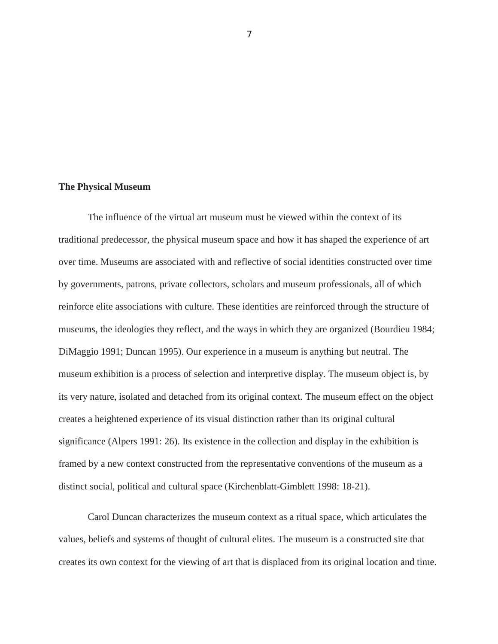#### **The Physical Museum**

The influence of the virtual art museum must be viewed within the context of its traditional predecessor, the physical museum space and how it has shaped the experience of art over time. Museums are associated with and reflective of social identities constructed over time by governments, patrons, private collectors, scholars and museum professionals, all of which reinforce elite associations with culture. These identities are reinforced through the structure of museums, the ideologies they reflect, and the ways in which they are organized (Bourdieu 1984; DiMaggio 1991; Duncan 1995). Our experience in a museum is anything but neutral. The museum exhibition is a process of selection and interpretive display. The museum object is, by its very nature, isolated and detached from its original context. The museum effect on the object creates a heightened experience of its visual distinction rather than its original cultural significance (Alpers 1991: 26). Its existence in the collection and display in the exhibition is framed by a new context constructed from the representative conventions of the museum as a distinct social, political and cultural space (Kirchenblatt-Gimblett 1998: 18-21).

Carol Duncan characterizes the museum context as a ritual space, which articulates the values, beliefs and systems of thought of cultural elites. The museum is a constructed site that creates its own context for the viewing of art that is displaced from its original location and time.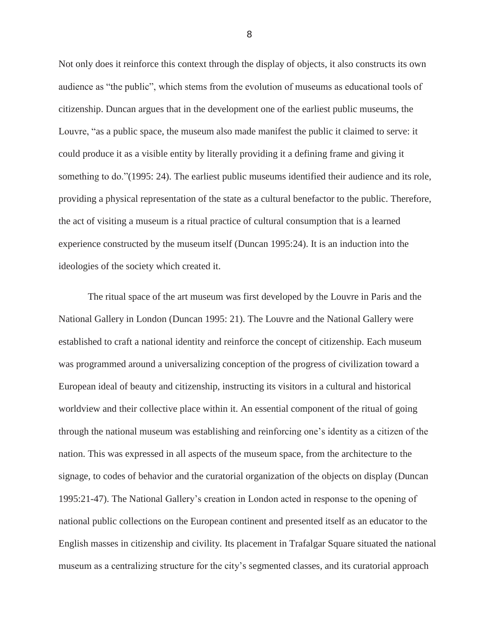Not only does it reinforce this context through the display of objects, it also constructs its own audience as "the public", which stems from the evolution of museums as educational tools of citizenship. Duncan argues that in the development one of the earliest public museums, the Louvre, "as a public space, the museum also made manifest the public it claimed to serve: it could produce it as a visible entity by literally providing it a defining frame and giving it something to do."(1995: 24). The earliest public museums identified their audience and its role, providing a physical representation of the state as a cultural benefactor to the public. Therefore, the act of visiting a museum is a ritual practice of cultural consumption that is a learned experience constructed by the museum itself (Duncan 1995:24). It is an induction into the ideologies of the society which created it.

The ritual space of the art museum was first developed by the Louvre in Paris and the National Gallery in London (Duncan 1995: 21). The Louvre and the National Gallery were established to craft a national identity and reinforce the concept of citizenship. Each museum was programmed around a universalizing conception of the progress of civilization toward a European ideal of beauty and citizenship, instructing its visitors in a cultural and historical worldview and their collective place within it. An essential component of the ritual of going through the national museum was establishing and reinforcing one"s identity as a citizen of the nation. This was expressed in all aspects of the museum space, from the architecture to the signage, to codes of behavior and the curatorial organization of the objects on display (Duncan 1995:21-47). The National Gallery"s creation in London acted in response to the opening of national public collections on the European continent and presented itself as an educator to the English masses in citizenship and civility. Its placement in Trafalgar Square situated the national museum as a centralizing structure for the city's segmented classes, and its curatorial approach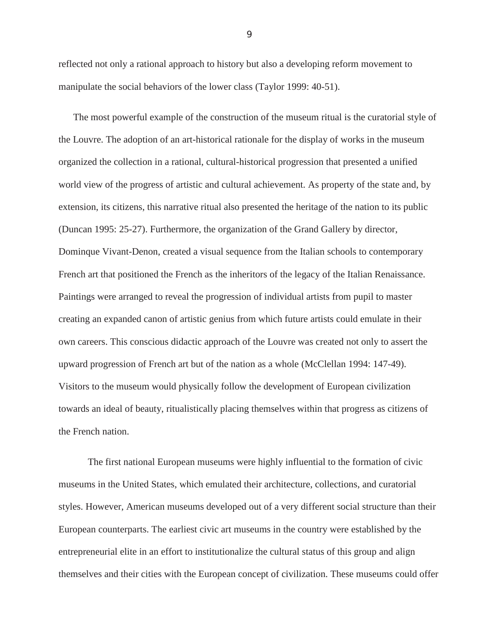reflected not only a rational approach to history but also a developing reform movement to manipulate the social behaviors of the lower class (Taylor 1999: 40-51).

The most powerful example of the construction of the museum ritual is the curatorial style of the Louvre. The adoption of an art-historical rationale for the display of works in the museum organized the collection in a rational, cultural-historical progression that presented a unified world view of the progress of artistic and cultural achievement. As property of the state and, by extension, its citizens, this narrative ritual also presented the heritage of the nation to its public (Duncan 1995: 25-27). Furthermore, the organization of the Grand Gallery by director, Dominque Vivant-Denon, created a visual sequence from the Italian schools to contemporary French art that positioned the French as the inheritors of the legacy of the Italian Renaissance. Paintings were arranged to reveal the progression of individual artists from pupil to master creating an expanded canon of artistic genius from which future artists could emulate in their own careers. This conscious didactic approach of the Louvre was created not only to assert the upward progression of French art but of the nation as a whole (McClellan 1994: 147-49). Visitors to the museum would physically follow the development of European civilization towards an ideal of beauty, ritualistically placing themselves within that progress as citizens of the French nation.

The first national European museums were highly influential to the formation of civic museums in the United States, which emulated their architecture, collections, and curatorial styles. However, American museums developed out of a very different social structure than their European counterparts. The earliest civic art museums in the country were established by the entrepreneurial elite in an effort to institutionalize the cultural status of this group and align themselves and their cities with the European concept of civilization. These museums could offer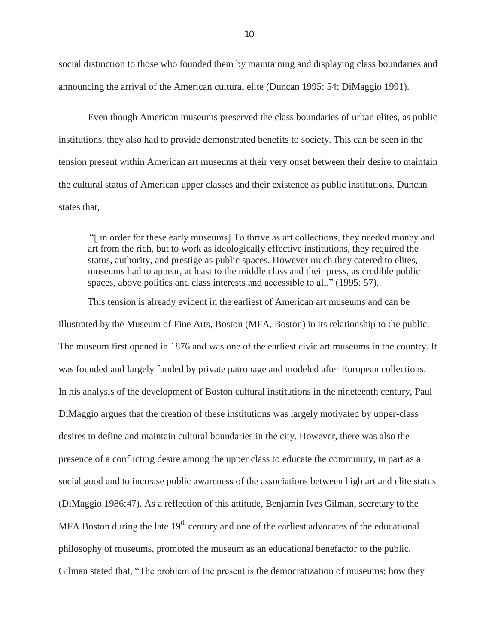social distinction to those who founded them by maintaining and displaying class boundaries and announcing the arrival of the American cultural elite (Duncan 1995: 54; DiMaggio 1991).

Even though American museums preserved the class boundaries of urban elites, as public institutions, they also had to provide demonstrated benefits to society. This can be seen in the tension present within American art museums at their very onset between their desire to maintain the cultural status of American upper classes and their existence as public institutions. Duncan states that,

"[ in order for these early museums] To thrive as art collections, they needed money and art from the rich, but to work as ideologically effective institutions, they required the status, authority, and prestige as public spaces. However much they catered to elites, museums had to appear, at least to the middle class and their press, as credible public spaces, above politics and class interests and accessible to all." (1995: 57).

This tension is already evident in the earliest of American art museums and can be illustrated by the Museum of Fine Arts, Boston (MFA, Boston) in its relationship to the public. The museum first opened in 1876 and was one of the earliest civic art museums in the country. It was founded and largely funded by private patronage and modeled after European collections. In his analysis of the development of Boston cultural institutions in the nineteenth century, Paul DiMaggio argues that the creation of these institutions was largely motivated by upper-class desires to define and maintain cultural boundaries in the city. However, there was also the presence of a conflicting desire among the upper class to educate the community, in part as a social good and to increase public awareness of the associations between high art and elite status (DiMaggio 1986:47). As a reflection of this attitude, Benjamin Ives Gilman, secretary to the MFA Boston during the late  $19<sup>th</sup>$  century and one of the earliest advocates of the educational philosophy of museums, promoted the museum as an educational benefactor to the public. Gilman stated that, "The problem of the present is the democratization of museums; how they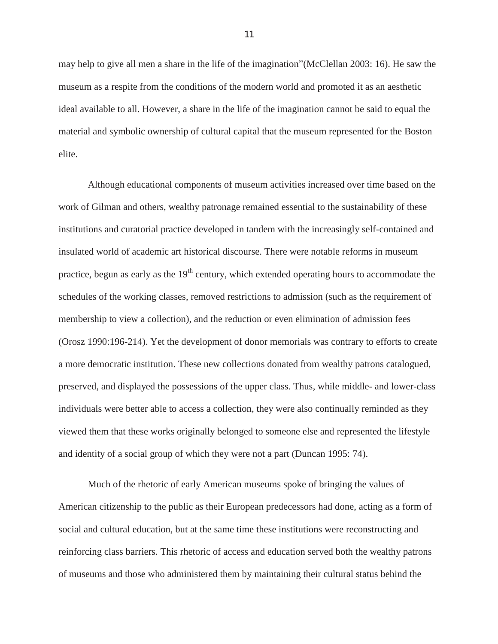may help to give all men a share in the life of the imagination"(McClellan 2003: 16). He saw the museum as a respite from the conditions of the modern world and promoted it as an aesthetic ideal available to all. However, a share in the life of the imagination cannot be said to equal the material and symbolic ownership of cultural capital that the museum represented for the Boston elite.

Although educational components of museum activities increased over time based on the work of Gilman and others, wealthy patronage remained essential to the sustainability of these institutions and curatorial practice developed in tandem with the increasingly self-contained and insulated world of academic art historical discourse. There were notable reforms in museum practice, begun as early as the  $19<sup>th</sup>$  century, which extended operating hours to accommodate the schedules of the working classes, removed restrictions to admission (such as the requirement of membership to view a collection), and the reduction or even elimination of admission fees (Orosz 1990:196-214). Yet the development of donor memorials was contrary to efforts to create a more democratic institution. These new collections donated from wealthy patrons catalogued, preserved, and displayed the possessions of the upper class. Thus, while middle- and lower-class individuals were better able to access a collection, they were also continually reminded as they viewed them that these works originally belonged to someone else and represented the lifestyle and identity of a social group of which they were not a part (Duncan 1995: 74).

Much of the rhetoric of early American museums spoke of bringing the values of American citizenship to the public as their European predecessors had done, acting as a form of social and cultural education, but at the same time these institutions were reconstructing and reinforcing class barriers. This rhetoric of access and education served both the wealthy patrons of museums and those who administered them by maintaining their cultural status behind the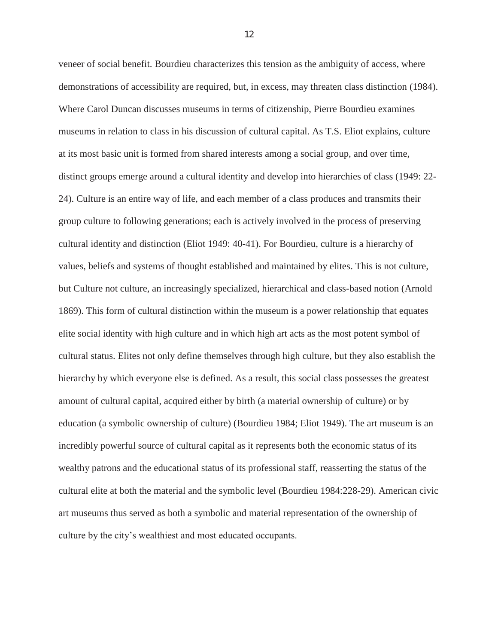veneer of social benefit. Bourdieu characterizes this tension as the ambiguity of access, where demonstrations of accessibility are required, but, in excess, may threaten class distinction (1984). Where Carol Duncan discusses museums in terms of citizenship, Pierre Bourdieu examines museums in relation to class in his discussion of cultural capital. As T.S. Eliot explains, culture at its most basic unit is formed from shared interests among a social group, and over time, distinct groups emerge around a cultural identity and develop into hierarchies of class (1949: 22- 24). Culture is an entire way of life, and each member of a class produces and transmits their group culture to following generations; each is actively involved in the process of preserving cultural identity and distinction (Eliot 1949: 40-41). For Bourdieu, culture is a hierarchy of values, beliefs and systems of thought established and maintained by elites. This is not culture, but Culture not culture, an increasingly specialized, hierarchical and class-based notion (Arnold 1869). This form of cultural distinction within the museum is a power relationship that equates elite social identity with high culture and in which high art acts as the most potent symbol of cultural status. Elites not only define themselves through high culture, but they also establish the hierarchy by which everyone else is defined. As a result, this social class possesses the greatest amount of cultural capital, acquired either by birth (a material ownership of culture) or by education (a symbolic ownership of culture) (Bourdieu 1984; Eliot 1949). The art museum is an incredibly powerful source of cultural capital as it represents both the economic status of its wealthy patrons and the educational status of its professional staff, reasserting the status of the cultural elite at both the material and the symbolic level (Bourdieu 1984:228-29). American civic art museums thus served as both a symbolic and material representation of the ownership of culture by the city"s wealthiest and most educated occupants.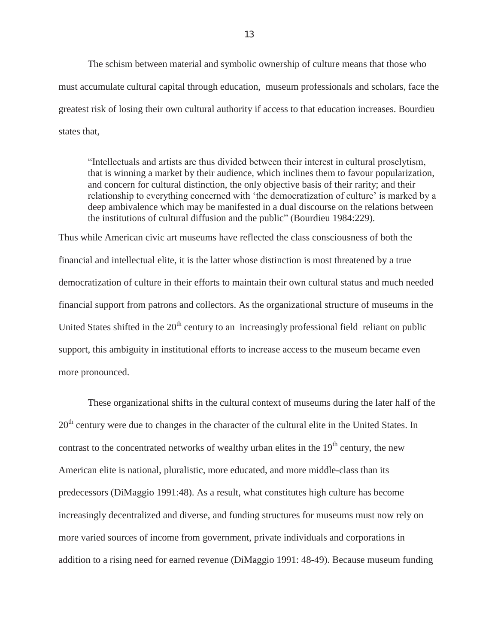The schism between material and symbolic ownership of culture means that those who must accumulate cultural capital through education, museum professionals and scholars, face the greatest risk of losing their own cultural authority if access to that education increases. Bourdieu states that,

"Intellectuals and artists are thus divided between their interest in cultural proselytism, that is winning a market by their audience, which inclines them to favour popularization, and concern for cultural distinction, the only objective basis of their rarity; and their relationship to everything concerned with 'the democratization of culture' is marked by a deep ambivalence which may be manifested in a dual discourse on the relations between the institutions of cultural diffusion and the public" (Bourdieu 1984:229).

Thus while American civic art museums have reflected the class consciousness of both the financial and intellectual elite, it is the latter whose distinction is most threatened by a true democratization of culture in their efforts to maintain their own cultural status and much needed financial support from patrons and collectors. As the organizational structure of museums in the United States shifted in the  $20<sup>th</sup>$  century to an increasingly professional field reliant on public support, this ambiguity in institutional efforts to increase access to the museum became even more pronounced.

These organizational shifts in the cultural context of museums during the later half of the  $20<sup>th</sup>$  century were due to changes in the character of the cultural elite in the United States. In contrast to the concentrated networks of wealthy urban elites in the  $19<sup>th</sup>$  century, the new American elite is national, pluralistic, more educated, and more middle-class than its predecessors (DiMaggio 1991:48). As a result, what constitutes high culture has become increasingly decentralized and diverse, and funding structures for museums must now rely on more varied sources of income from government, private individuals and corporations in addition to a rising need for earned revenue (DiMaggio 1991: 48-49). Because museum funding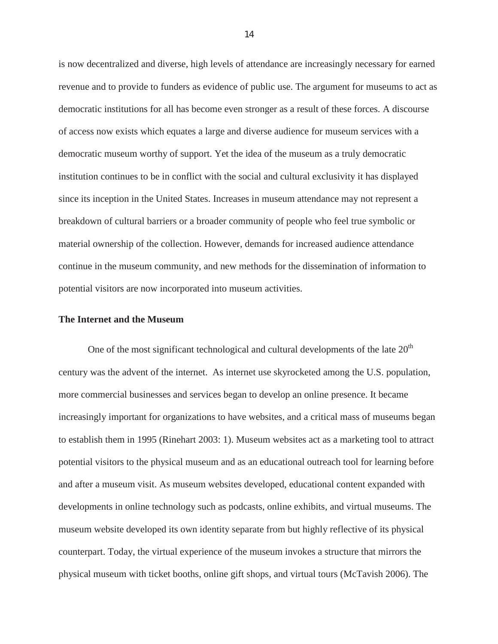is now decentralized and diverse, high levels of attendance are increasingly necessary for earned revenue and to provide to funders as evidence of public use. The argument for museums to act as democratic institutions for all has become even stronger as a result of these forces. A discourse of access now exists which equates a large and diverse audience for museum services with a democratic museum worthy of support. Yet the idea of the museum as a truly democratic institution continues to be in conflict with the social and cultural exclusivity it has displayed since its inception in the United States. Increases in museum attendance may not represent a breakdown of cultural barriers or a broader community of people who feel true symbolic or material ownership of the collection. However, demands for increased audience attendance continue in the museum community, and new methods for the dissemination of information to potential visitors are now incorporated into museum activities.

#### **The Internet and the Museum**

One of the most significant technological and cultural developments of the late  $20<sup>th</sup>$ century was the advent of the internet. As internet use skyrocketed among the U.S. population, more commercial businesses and services began to develop an online presence. It became increasingly important for organizations to have websites, and a critical mass of museums began to establish them in 1995 (Rinehart 2003: 1). Museum websites act as a marketing tool to attract potential visitors to the physical museum and as an educational outreach tool for learning before and after a museum visit. As museum websites developed, educational content expanded with developments in online technology such as podcasts, online exhibits, and virtual museums. The museum website developed its own identity separate from but highly reflective of its physical counterpart. Today, the virtual experience of the museum invokes a structure that mirrors the physical museum with ticket booths, online gift shops, and virtual tours (McTavish 2006). The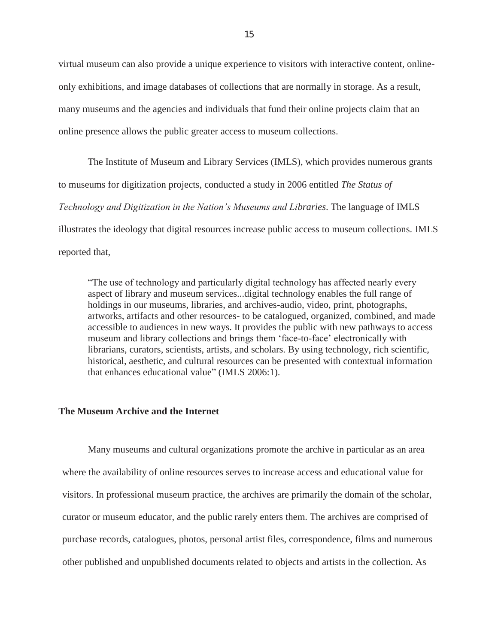virtual museum can also provide a unique experience to visitors with interactive content, onlineonly exhibitions, and image databases of collections that are normally in storage. As a result, many museums and the agencies and individuals that fund their online projects claim that an online presence allows the public greater access to museum collections.

The Institute of Museum and Library Services (IMLS), which provides numerous grants to museums for digitization projects, conducted a study in 2006 entitled *The Status of Technology and Digitization in the Nation's Museums and Libraries*. The language of IMLS illustrates the ideology that digital resources increase public access to museum collections. IMLS reported that,

"The use of technology and particularly digital technology has affected nearly every aspect of library and museum services...digital technology enables the full range of holdings in our museums, libraries, and archives-audio, video, print, photographs, artworks, artifacts and other resources- to be catalogued, organized, combined, and made accessible to audiences in new ways. It provides the public with new pathways to access museum and library collections and brings them "face-to-face" electronically with librarians, curators, scientists, artists, and scholars. By using technology, rich scientific, historical, aesthetic, and cultural resources can be presented with contextual information that enhances educational value" (IMLS 2006:1).

#### **The Museum Archive and the Internet**

Many museums and cultural organizations promote the archive in particular as an area where the availability of online resources serves to increase access and educational value for visitors. In professional museum practice, the archives are primarily the domain of the scholar, curator or museum educator, and the public rarely enters them. The archives are comprised of purchase records, catalogues, photos, personal artist files, correspondence, films and numerous other published and unpublished documents related to objects and artists in the collection. As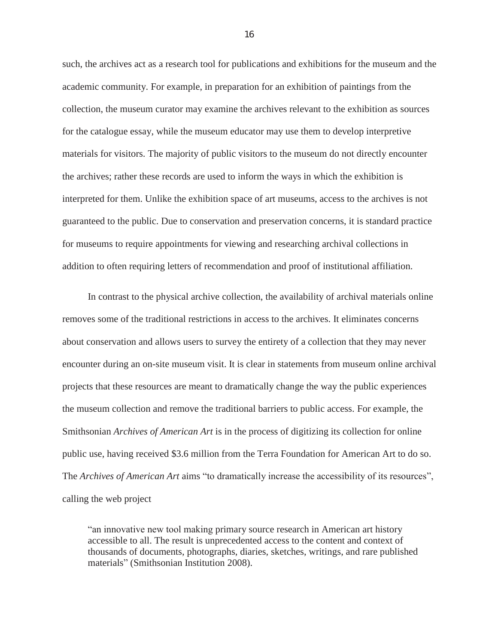such, the archives act as a research tool for publications and exhibitions for the museum and the academic community. For example, in preparation for an exhibition of paintings from the collection, the museum curator may examine the archives relevant to the exhibition as sources for the catalogue essay, while the museum educator may use them to develop interpretive materials for visitors. The majority of public visitors to the museum do not directly encounter the archives; rather these records are used to inform the ways in which the exhibition is interpreted for them. Unlike the exhibition space of art museums, access to the archives is not guaranteed to the public. Due to conservation and preservation concerns, it is standard practice for museums to require appointments for viewing and researching archival collections in addition to often requiring letters of recommendation and proof of institutional affiliation.

In contrast to the physical archive collection, the availability of archival materials online removes some of the traditional restrictions in access to the archives. It eliminates concerns about conservation and allows users to survey the entirety of a collection that they may never encounter during an on-site museum visit. It is clear in statements from museum online archival projects that these resources are meant to dramatically change the way the public experiences the museum collection and remove the traditional barriers to public access. For example, the Smithsonian *Archives of American Art* is in the process of digitizing its collection for online public use, having received \$3.6 million from the Terra Foundation for American Art to do so. The *Archives of American Art* aims "to dramatically increase the accessibility of its resources", calling the web project

"an innovative new tool making primary source research in American art history accessible to all. The result is unprecedented access to the content and context of thousands of documents, photographs, diaries, sketches, writings, and rare published materials" (Smithsonian Institution 2008).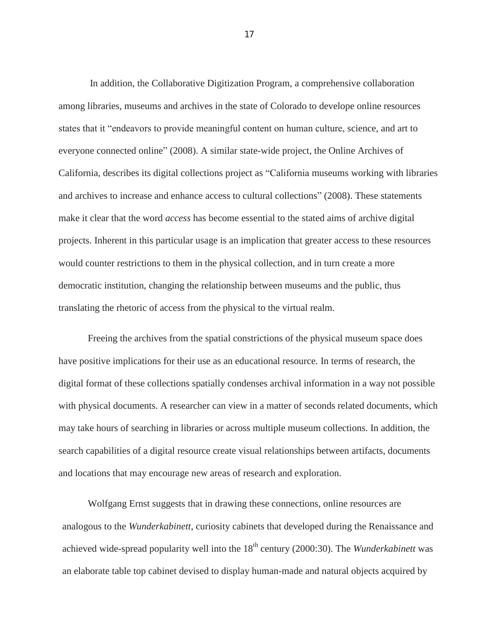In addition, the Collaborative Digitization Program, a comprehensive collaboration among libraries, museums and archives in the state of Colorado to develope online resources states that it "endeavors to provide meaningful content on human culture, science, and art to everyone connected online" (2008). A similar state-wide project, the Online Archives of California, describes its digital collections project as "California museums working with libraries and archives to increase and enhance access to cultural collections" (2008). These statements make it clear that the word *access* has become essential to the stated aims of archive digital projects. Inherent in this particular usage is an implication that greater access to these resources would counter restrictions to them in the physical collection, and in turn create a more democratic institution, changing the relationship between museums and the public, thus translating the rhetoric of access from the physical to the virtual realm.

Freeing the archives from the spatial constrictions of the physical museum space does have positive implications for their use as an educational resource. In terms of research, the digital format of these collections spatially condenses archival information in a way not possible with physical documents. A researcher can view in a matter of seconds related documents, which may take hours of searching in libraries or across multiple museum collections. In addition, the search capabilities of a digital resource create visual relationships between artifacts, documents and locations that may encourage new areas of research and exploration.

Wolfgang Ernst suggests that in drawing these connections, online resources are analogous to the *Wunderkabinett*, curiosity cabinets that developed during the Renaissance and achieved wide-spread popularity well into the 18<sup>th</sup> century (2000:30). The *Wunderkabinett* was an elaborate table top cabinet devised to display human-made and natural objects acquired by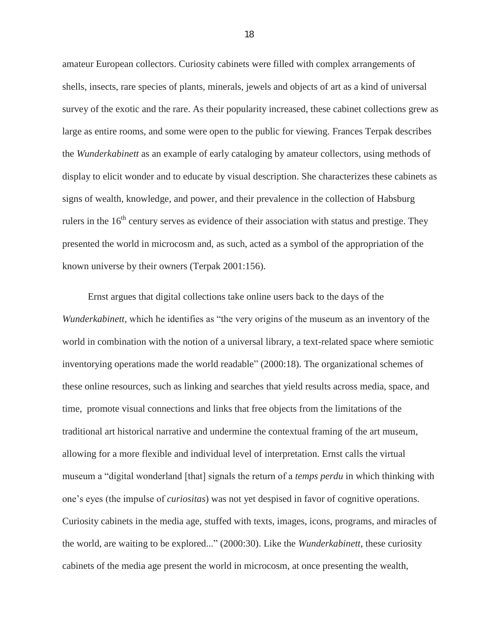amateur European collectors. Curiosity cabinets were filled with complex arrangements of shells, insects, rare species of plants, minerals, jewels and objects of art as a kind of universal survey of the exotic and the rare. As their popularity increased, these cabinet collections grew as large as entire rooms, and some were open to the public for viewing. Frances Terpak describes the *Wunderkabinett* as an example of early cataloging by amateur collectors, using methods of display to elicit wonder and to educate by visual description. She characterizes these cabinets as signs of wealth, knowledge, and power, and their prevalence in the collection of Habsburg rulers in the  $16<sup>th</sup>$  century serves as evidence of their association with status and prestige. They presented the world in microcosm and, as such, acted as a symbol of the appropriation of the known universe by their owners (Terpak 2001:156).

Ernst argues that digital collections take online users back to the days of the *Wunderkabinett,* which he identifies as "the very origins of the museum as an inventory of the world in combination with the notion of a universal library, a text-related space where semiotic inventorying operations made the world readable" (2000:18). The organizational schemes of these online resources, such as linking and searches that yield results across media, space, and time, promote visual connections and links that free objects from the limitations of the traditional art historical narrative and undermine the contextual framing of the art museum, allowing for a more flexible and individual level of interpretation. Ernst calls the virtual museum a "digital wonderland [that] signals the return of a *temps perdu* in which thinking with one"s eyes (the impulse of *curiositas*) was not yet despised in favor of cognitive operations. Curiosity cabinets in the media age, stuffed with texts, images, icons, programs, and miracles of the world, are waiting to be explored..." (2000:30). Like the *Wunderkabinett*, these curiosity cabinets of the media age present the world in microcosm, at once presenting the wealth,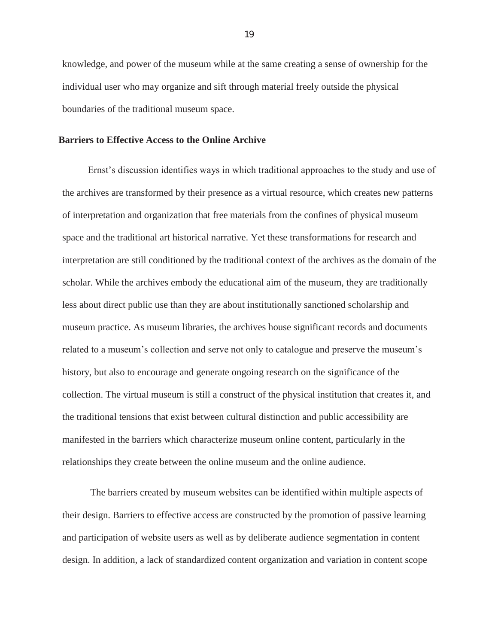knowledge, and power of the museum while at the same creating a sense of ownership for the individual user who may organize and sift through material freely outside the physical boundaries of the traditional museum space.

#### **Barriers to Effective Access to the Online Archive**

Ernst"s discussion identifies ways in which traditional approaches to the study and use of the archives are transformed by their presence as a virtual resource, which creates new patterns of interpretation and organization that free materials from the confines of physical museum space and the traditional art historical narrative. Yet these transformations for research and interpretation are still conditioned by the traditional context of the archives as the domain of the scholar. While the archives embody the educational aim of the museum, they are traditionally less about direct public use than they are about institutionally sanctioned scholarship and museum practice. As museum libraries, the archives house significant records and documents related to a museum"s collection and serve not only to catalogue and preserve the museum"s history, but also to encourage and generate ongoing research on the significance of the collection. The virtual museum is still a construct of the physical institution that creates it, and the traditional tensions that exist between cultural distinction and public accessibility are manifested in the barriers which characterize museum online content, particularly in the relationships they create between the online museum and the online audience.

The barriers created by museum websites can be identified within multiple aspects of their design. Barriers to effective access are constructed by the promotion of passive learning and participation of website users as well as by deliberate audience segmentation in content design. In addition, a lack of standardized content organization and variation in content scope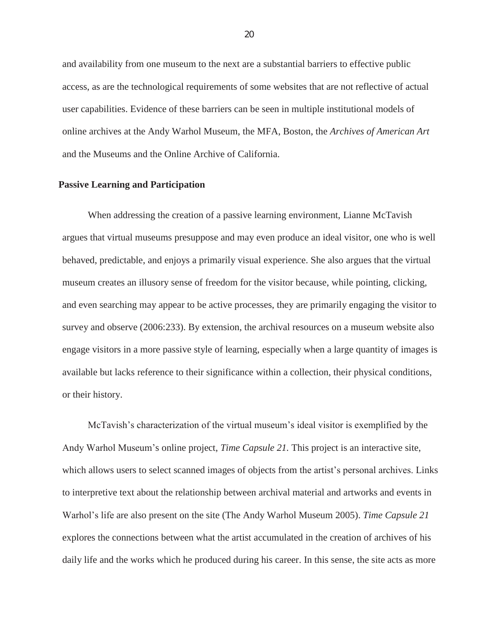and availability from one museum to the next are a substantial barriers to effective public access, as are the technological requirements of some websites that are not reflective of actual user capabilities. Evidence of these barriers can be seen in multiple institutional models of online archives at the Andy Warhol Museum, the MFA, Boston, the *Archives of American Art* and the Museums and the Online Archive of California.

#### **Passive Learning and Participation**

When addressing the creation of a passive learning environment, Lianne McTavish argues that virtual museums presuppose and may even produce an ideal visitor, one who is well behaved, predictable, and enjoys a primarily visual experience. She also argues that the virtual museum creates an illusory sense of freedom for the visitor because, while pointing, clicking, and even searching may appear to be active processes, they are primarily engaging the visitor to survey and observe (2006:233). By extension, the archival resources on a museum website also engage visitors in a more passive style of learning, especially when a large quantity of images is available but lacks reference to their significance within a collection, their physical conditions, or their history.

McTavish's characterization of the virtual museum's ideal visitor is exemplified by the Andy Warhol Museum"s online project, *Time Capsule 21.* This project is an interactive site, which allows users to select scanned images of objects from the artist's personal archives. Links to interpretive text about the relationship between archival material and artworks and events in Warhol"s life are also present on the site (The Andy Warhol Museum 2005). *Time Capsule 21* explores the connections between what the artist accumulated in the creation of archives of his daily life and the works which he produced during his career. In this sense, the site acts as more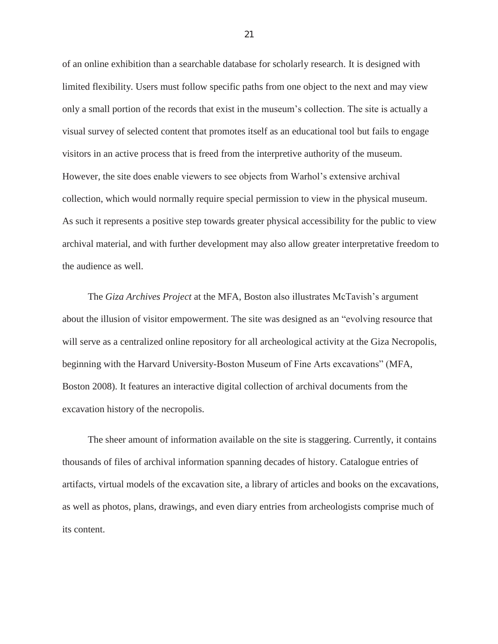of an online exhibition than a searchable database for scholarly research. It is designed with limited flexibility. Users must follow specific paths from one object to the next and may view only a small portion of the records that exist in the museum"s collection. The site is actually a visual survey of selected content that promotes itself as an educational tool but fails to engage visitors in an active process that is freed from the interpretive authority of the museum. However, the site does enable viewers to see objects from Warhol"s extensive archival collection, which would normally require special permission to view in the physical museum. As such it represents a positive step towards greater physical accessibility for the public to view archival material, and with further development may also allow greater interpretative freedom to the audience as well.

The *Giza Archives Project* at the MFA, Boston also illustrates McTavish"s argument about the illusion of visitor empowerment. The site was designed as an "evolving resource that will serve as a centralized online repository for all archeological activity at the Giza Necropolis, beginning with the Harvard University-Boston Museum of Fine Arts excavations" (MFA, Boston 2008). It features an interactive digital collection of archival documents from the excavation history of the necropolis.

The sheer amount of information available on the site is staggering. Currently, it contains thousands of files of archival information spanning decades of history. Catalogue entries of artifacts, virtual models of the excavation site, a library of articles and books on the excavations, as well as photos, plans, drawings, and even diary entries from archeologists comprise much of its content.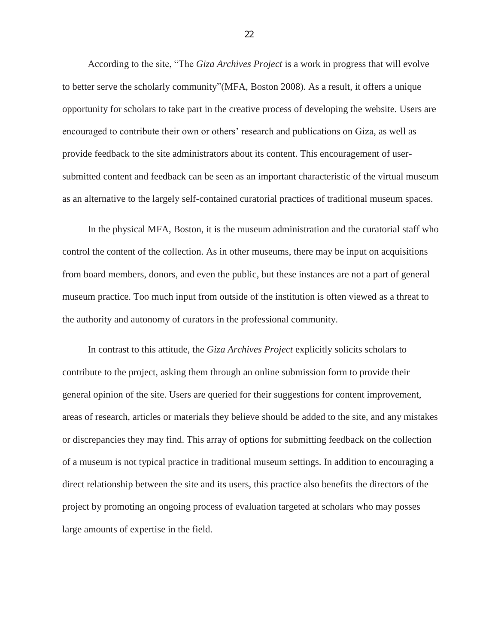According to the site, "The *Giza Archives Project* is a work in progress that will evolve to better serve the scholarly community"(MFA, Boston 2008). As a result, it offers a unique opportunity for scholars to take part in the creative process of developing the website. Users are encouraged to contribute their own or others" research and publications on Giza, as well as provide feedback to the site administrators about its content. This encouragement of usersubmitted content and feedback can be seen as an important characteristic of the virtual museum as an alternative to the largely self-contained curatorial practices of traditional museum spaces.

In the physical MFA, Boston, it is the museum administration and the curatorial staff who control the content of the collection. As in other museums, there may be input on acquisitions from board members, donors, and even the public, but these instances are not a part of general museum practice. Too much input from outside of the institution is often viewed as a threat to the authority and autonomy of curators in the professional community.

In contrast to this attitude, the *Giza Archives Project* explicitly solicits scholars to contribute to the project, asking them through an online submission form to provide their general opinion of the site. Users are queried for their suggestions for content improvement, areas of research, articles or materials they believe should be added to the site, and any mistakes or discrepancies they may find. This array of options for submitting feedback on the collection of a museum is not typical practice in traditional museum settings. In addition to encouraging a direct relationship between the site and its users, this practice also benefits the directors of the project by promoting an ongoing process of evaluation targeted at scholars who may posses large amounts of expertise in the field.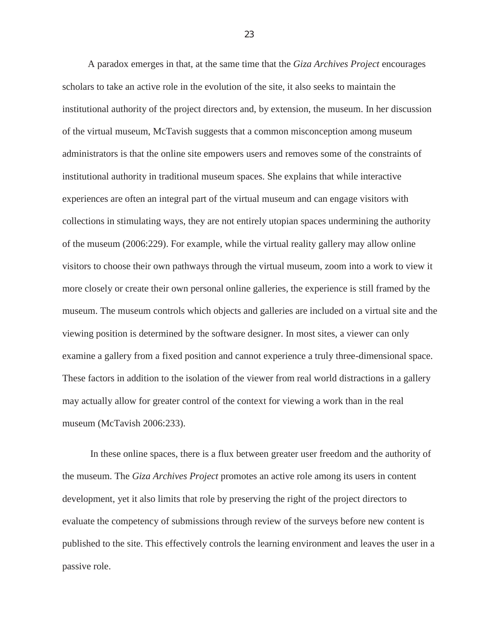A paradox emerges in that, at the same time that the *Giza Archives Project* encourages scholars to take an active role in the evolution of the site, it also seeks to maintain the institutional authority of the project directors and, by extension, the museum. In her discussion of the virtual museum, McTavish suggests that a common misconception among museum administrators is that the online site empowers users and removes some of the constraints of institutional authority in traditional museum spaces. She explains that while interactive experiences are often an integral part of the virtual museum and can engage visitors with collections in stimulating ways, they are not entirely utopian spaces undermining the authority of the museum (2006:229). For example, while the virtual reality gallery may allow online visitors to choose their own pathways through the virtual museum, zoom into a work to view it more closely or create their own personal online galleries, the experience is still framed by the museum. The museum controls which objects and galleries are included on a virtual site and the viewing position is determined by the software designer. In most sites, a viewer can only examine a gallery from a fixed position and cannot experience a truly three-dimensional space. These factors in addition to the isolation of the viewer from real world distractions in a gallery may actually allow for greater control of the context for viewing a work than in the real museum (McTavish 2006:233).

In these online spaces, there is a flux between greater user freedom and the authority of the museum. The *Giza Archives Project* promotes an active role among its users in content development, yet it also limits that role by preserving the right of the project directors to evaluate the competency of submissions through review of the surveys before new content is published to the site. This effectively controls the learning environment and leaves the user in a passive role.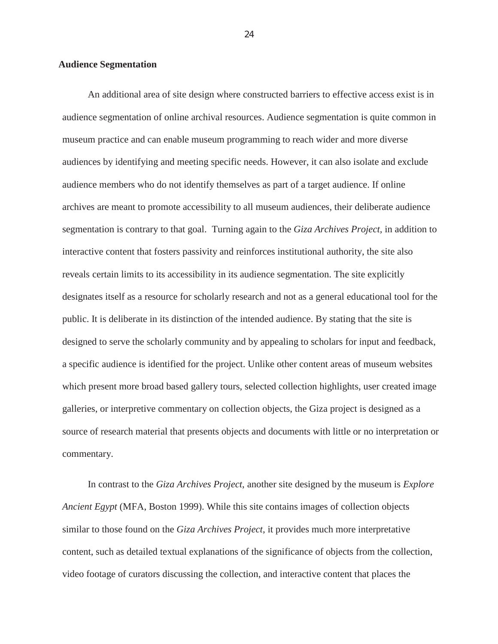#### **Audience Segmentation**

An additional area of site design where constructed barriers to effective access exist is in audience segmentation of online archival resources. Audience segmentation is quite common in museum practice and can enable museum programming to reach wider and more diverse audiences by identifying and meeting specific needs. However, it can also isolate and exclude audience members who do not identify themselves as part of a target audience. If online archives are meant to promote accessibility to all museum audiences, their deliberate audience segmentation is contrary to that goal. Turning again to the *Giza Archives Project,* in addition to interactive content that fosters passivity and reinforces institutional authority, the site also reveals certain limits to its accessibility in its audience segmentation. The site explicitly designates itself as a resource for scholarly research and not as a general educational tool for the public. It is deliberate in its distinction of the intended audience. By stating that the site is designed to serve the scholarly community and by appealing to scholars for input and feedback, a specific audience is identified for the project. Unlike other content areas of museum websites which present more broad based gallery tours, selected collection highlights, user created image galleries, or interpretive commentary on collection objects, the Giza project is designed as a source of research material that presents objects and documents with little or no interpretation or commentary.

In contrast to the *Giza Archives Project*, another site designed by the museum is *Explore Ancient Egypt* (MFA, Boston 1999). While this site contains images of collection objects similar to those found on the *Giza Archives Project*, it provides much more interpretative content, such as detailed textual explanations of the significance of objects from the collection, video footage of curators discussing the collection, and interactive content that places the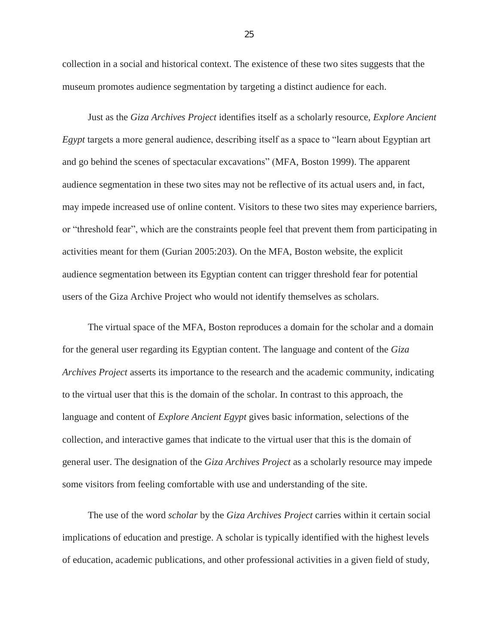collection in a social and historical context. The existence of these two sites suggests that the museum promotes audience segmentation by targeting a distinct audience for each.

Just as the *Giza Archives Project* identifies itself as a scholarly resource, *Explore Ancient Egypt* targets a more general audience, describing itself as a space to "learn about Egyptian art and go behind the scenes of spectacular excavations" (MFA, Boston 1999). The apparent audience segmentation in these two sites may not be reflective of its actual users and, in fact, may impede increased use of online content. Visitors to these two sites may experience barriers, or "threshold fear", which are the constraints people feel that prevent them from participating in activities meant for them (Gurian 2005:203). On the MFA, Boston website, the explicit audience segmentation between its Egyptian content can trigger threshold fear for potential users of the Giza Archive Project who would not identify themselves as scholars.

The virtual space of the MFA, Boston reproduces a domain for the scholar and a domain for the general user regarding its Egyptian content. The language and content of the *Giza Archives Project* asserts its importance to the research and the academic community, indicating to the virtual user that this is the domain of the scholar. In contrast to this approach, the language and content of *Explore Ancient Egypt* gives basic information, selections of the collection, and interactive games that indicate to the virtual user that this is the domain of general user. The designation of the *Giza Archives Project* as a scholarly resource may impede some visitors from feeling comfortable with use and understanding of the site.

The use of the word *scholar* by the *Giza Archives Project* carries within it certain social implications of education and prestige. A scholar is typically identified with the highest levels of education, academic publications, and other professional activities in a given field of study,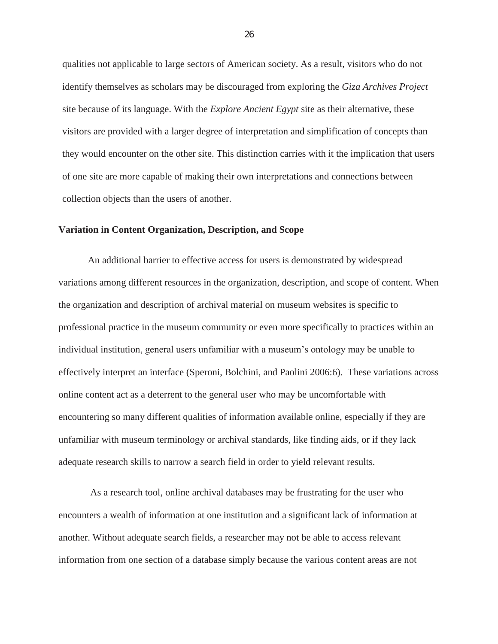qualities not applicable to large sectors of American society. As a result, visitors who do not identify themselves as scholars may be discouraged from exploring the *Giza Archives Project* site because of its language. With the *Explore Ancient Egypt* site as their alternative, these visitors are provided with a larger degree of interpretation and simplification of concepts than they would encounter on the other site. This distinction carries with it the implication that users of one site are more capable of making their own interpretations and connections between collection objects than the users of another.

#### **Variation in Content Organization, Description, and Scope**

An additional barrier to effective access for users is demonstrated by widespread variations among different resources in the organization, description, and scope of content. When the organization and description of archival material on museum websites is specific to professional practice in the museum community or even more specifically to practices within an individual institution, general users unfamiliar with a museum"s ontology may be unable to effectively interpret an interface (Speroni, Bolchini, and Paolini 2006:6). These variations across online content act as a deterrent to the general user who may be uncomfortable with encountering so many different qualities of information available online, especially if they are unfamiliar with museum terminology or archival standards, like finding aids, or if they lack adequate research skills to narrow a search field in order to yield relevant results.

As a research tool, online archival databases may be frustrating for the user who encounters a wealth of information at one institution and a significant lack of information at another. Without adequate search fields, a researcher may not be able to access relevant information from one section of a database simply because the various content areas are not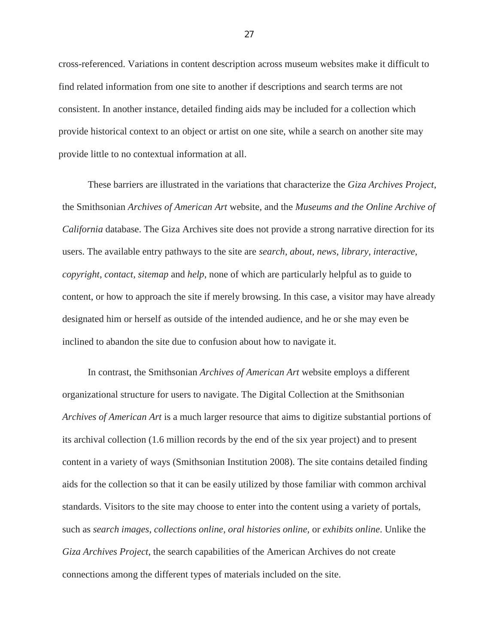cross-referenced. Variations in content description across museum websites make it difficult to find related information from one site to another if descriptions and search terms are not consistent. In another instance, detailed finding aids may be included for a collection which provide historical context to an object or artist on one site, while a search on another site may provide little to no contextual information at all.

These barriers are illustrated in the variations that characterize the *Giza Archives Project*, the Smithsonian *Archives of American Art* website, and the *Museums and the Online Archive of California* database. The Giza Archives site does not provide a strong narrative direction for its users. The available entry pathways to the site are *search, about, news, library, interactive, copyright, contact, sitemap* and *help*, none of which are particularly helpful as to guide to content, or how to approach the site if merely browsing. In this case, a visitor may have already designated him or herself as outside of the intended audience, and he or she may even be inclined to abandon the site due to confusion about how to navigate it.

In contrast, the Smithsonian *Archives of American Art* website employs a different organizational structure for users to navigate. The Digital Collection at the Smithsonian *Archives of American Art* is a much larger resource that aims to digitize substantial portions of its archival collection (1.6 million records by the end of the six year project) and to present content in a variety of ways (Smithsonian Institution 2008). The site contains detailed finding aids for the collection so that it can be easily utilized by those familiar with common archival standards. Visitors to the site may choose to enter into the content using a variety of portals, such as *search images*, *collections online, oral histories online,* or *exhibits online*. Unlike the *Giza Archives Project*, the search capabilities of the American Archives do not create connections among the different types of materials included on the site.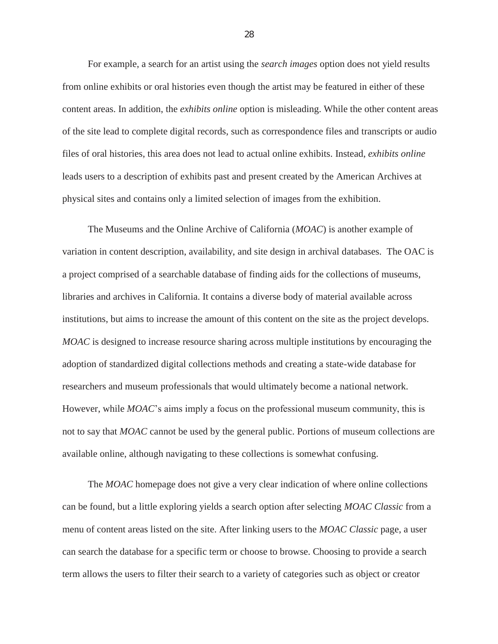For example, a search for an artist using the *search images* option does not yield results from online exhibits or oral histories even though the artist may be featured in either of these content areas. In addition, the *exhibits online* option is misleading. While the other content areas of the site lead to complete digital records, such as correspondence files and transcripts or audio files of oral histories, this area does not lead to actual online exhibits. Instead, *exhibits online* leads users to a description of exhibits past and present created by the American Archives at physical sites and contains only a limited selection of images from the exhibition.

The Museums and the Online Archive of California (*MOAC*) is another example of variation in content description, availability, and site design in archival databases. The OAC is a project comprised of a searchable database of finding aids for the collections of museums, libraries and archives in California. It contains a diverse body of material available across institutions, but aims to increase the amount of this content on the site as the project develops. *MOAC* is designed to increase resource sharing across multiple institutions by encouraging the adoption of standardized digital collections methods and creating a state-wide database for researchers and museum professionals that would ultimately become a national network. However, while *MOAC*'s aims imply a focus on the professional museum community, this is not to say that *MOAC* cannot be used by the general public. Portions of museum collections are available online, although navigating to these collections is somewhat confusing.

The *MOAC* homepage does not give a very clear indication of where online collections can be found, but a little exploring yields a search option after selecting *MOAC Classic* from a menu of content areas listed on the site. After linking users to the *MOAC Classic* page, a user can search the database for a specific term or choose to browse. Choosing to provide a search term allows the users to filter their search to a variety of categories such as object or creator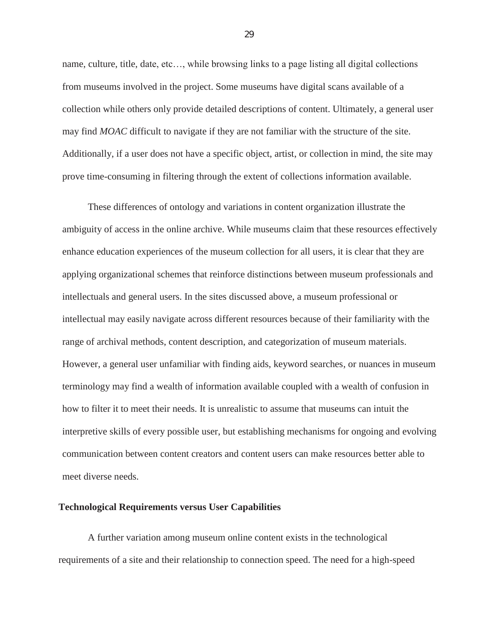name, culture, title, date, etc…, while browsing links to a page listing all digital collections from museums involved in the project. Some museums have digital scans available of a collection while others only provide detailed descriptions of content. Ultimately, a general user may find *MOAC* difficult to navigate if they are not familiar with the structure of the site. Additionally, if a user does not have a specific object, artist, or collection in mind, the site may prove time-consuming in filtering through the extent of collections information available.

These differences of ontology and variations in content organization illustrate the ambiguity of access in the online archive. While museums claim that these resources effectively enhance education experiences of the museum collection for all users, it is clear that they are applying organizational schemes that reinforce distinctions between museum professionals and intellectuals and general users. In the sites discussed above, a museum professional or intellectual may easily navigate across different resources because of their familiarity with the range of archival methods, content description, and categorization of museum materials. However, a general user unfamiliar with finding aids, keyword searches, or nuances in museum terminology may find a wealth of information available coupled with a wealth of confusion in how to filter it to meet their needs. It is unrealistic to assume that museums can intuit the interpretive skills of every possible user, but establishing mechanisms for ongoing and evolving communication between content creators and content users can make resources better able to meet diverse needs.

#### **Technological Requirements versus User Capabilities**

A further variation among museum online content exists in the technological requirements of a site and their relationship to connection speed. The need for a high-speed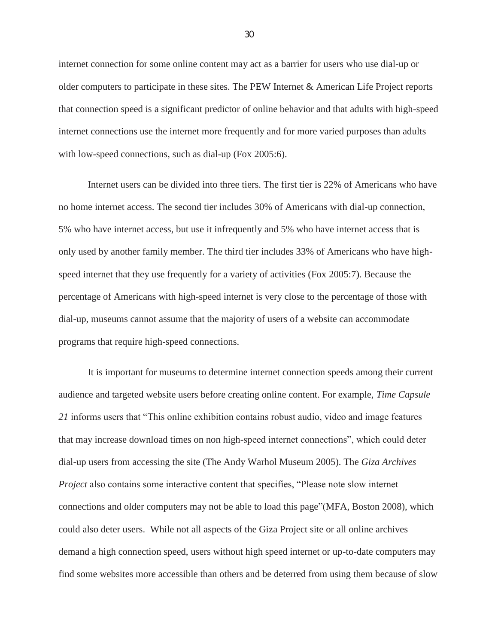internet connection for some online content may act as a barrier for users who use dial-up or older computers to participate in these sites. The PEW Internet & American Life Project reports that connection speed is a significant predictor of online behavior and that adults with high-speed internet connections use the internet more frequently and for more varied purposes than adults with low-speed connections, such as dial-up (Fox 2005:6).

Internet users can be divided into three tiers. The first tier is 22% of Americans who have no home internet access. The second tier includes 30% of Americans with dial-up connection, 5% who have internet access, but use it infrequently and 5% who have internet access that is only used by another family member. The third tier includes 33% of Americans who have highspeed internet that they use frequently for a variety of activities (Fox 2005:7). Because the percentage of Americans with high-speed internet is very close to the percentage of those with dial-up, museums cannot assume that the majority of users of a website can accommodate programs that require high-speed connections.

It is important for museums to determine internet connection speeds among their current audience and targeted website users before creating online content. For example, *Time Capsule 21* informs users that "This online exhibition contains robust audio, video and image features that may increase download times on non high-speed internet connections", which could deter dial-up users from accessing the site (The Andy Warhol Museum 2005). The *Giza Archives Project* also contains some interactive content that specifies, "Please note slow internet connections and older computers may not be able to load this page"(MFA, Boston 2008), which could also deter users. While not all aspects of the Giza Project site or all online archives demand a high connection speed, users without high speed internet or up-to-date computers may find some websites more accessible than others and be deterred from using them because of slow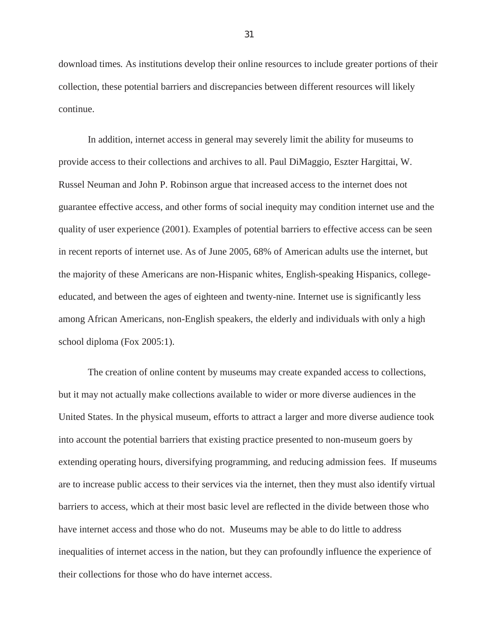download times*.* As institutions develop their online resources to include greater portions of their collection, these potential barriers and discrepancies between different resources will likely continue.

In addition, internet access in general may severely limit the ability for museums to provide access to their collections and archives to all. Paul DiMaggio, Eszter Hargittai, W. Russel Neuman and John P. Robinson argue that increased access to the internet does not guarantee effective access, and other forms of social inequity may condition internet use and the quality of user experience (2001). Examples of potential barriers to effective access can be seen in recent reports of internet use. As of June 2005, 68% of American adults use the internet, but the majority of these Americans are non-Hispanic whites, English-speaking Hispanics, collegeeducated, and between the ages of eighteen and twenty-nine. Internet use is significantly less among African Americans, non-English speakers, the elderly and individuals with only a high school diploma (Fox 2005:1).

The creation of online content by museums may create expanded access to collections, but it may not actually make collections available to wider or more diverse audiences in the United States. In the physical museum, efforts to attract a larger and more diverse audience took into account the potential barriers that existing practice presented to non-museum goers by extending operating hours, diversifying programming, and reducing admission fees. If museums are to increase public access to their services via the internet, then they must also identify virtual barriers to access, which at their most basic level are reflected in the divide between those who have internet access and those who do not. Museums may be able to do little to address inequalities of internet access in the nation, but they can profoundly influence the experience of their collections for those who do have internet access.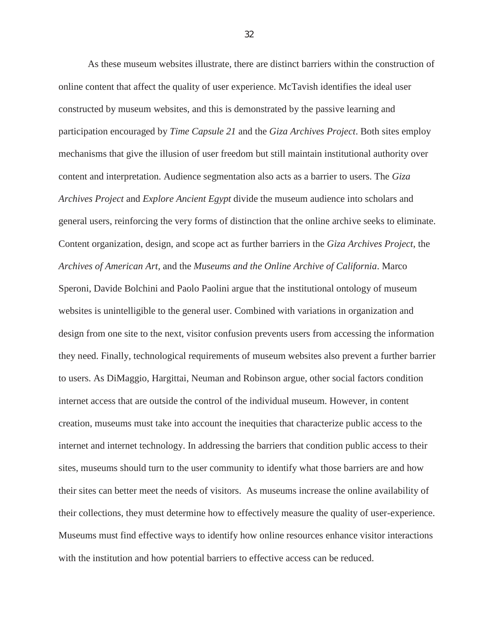As these museum websites illustrate, there are distinct barriers within the construction of online content that affect the quality of user experience. McTavish identifies the ideal user constructed by museum websites, and this is demonstrated by the passive learning and participation encouraged by *Time Capsule 21* and the *Giza Archives Project*. Both sites employ mechanisms that give the illusion of user freedom but still maintain institutional authority over content and interpretation. Audience segmentation also acts as a barrier to users. The *Giza Archives Project* and *Explore Ancient Egypt* divide the museum audience into scholars and general users, reinforcing the very forms of distinction that the online archive seeks to eliminate. Content organization, design, and scope act as further barriers in the *Giza Archives Project*, the *Archives of American Art,* and the *Museums and the Online Archive of California*. Marco Speroni, Davide Bolchini and Paolo Paolini argue that the institutional ontology of museum websites is unintelligible to the general user. Combined with variations in organization and design from one site to the next, visitor confusion prevents users from accessing the information they need. Finally, technological requirements of museum websites also prevent a further barrier to users. As DiMaggio, Hargittai, Neuman and Robinson argue, other social factors condition internet access that are outside the control of the individual museum. However, in content creation, museums must take into account the inequities that characterize public access to the internet and internet technology. In addressing the barriers that condition public access to their sites, museums should turn to the user community to identify what those barriers are and how their sites can better meet the needs of visitors. As museums increase the online availability of their collections, they must determine how to effectively measure the quality of user-experience. Museums must find effective ways to identify how online resources enhance visitor interactions with the institution and how potential barriers to effective access can be reduced.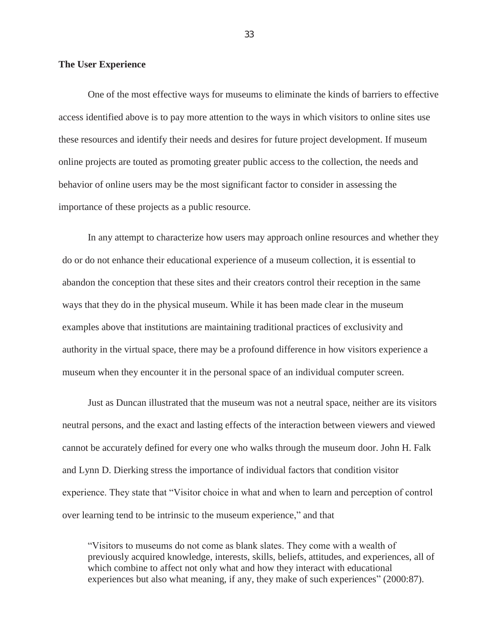#### **The User Experience**

One of the most effective ways for museums to eliminate the kinds of barriers to effective access identified above is to pay more attention to the ways in which visitors to online sites use these resources and identify their needs and desires for future project development. If museum online projects are touted as promoting greater public access to the collection, the needs and behavior of online users may be the most significant factor to consider in assessing the importance of these projects as a public resource.

In any attempt to characterize how users may approach online resources and whether they do or do not enhance their educational experience of a museum collection, it is essential to abandon the conception that these sites and their creators control their reception in the same ways that they do in the physical museum. While it has been made clear in the museum examples above that institutions are maintaining traditional practices of exclusivity and authority in the virtual space, there may be a profound difference in how visitors experience a museum when they encounter it in the personal space of an individual computer screen.

Just as Duncan illustrated that the museum was not a neutral space, neither are its visitors neutral persons, and the exact and lasting effects of the interaction between viewers and viewed cannot be accurately defined for every one who walks through the museum door. John H. Falk and Lynn D. Dierking stress the importance of individual factors that condition visitor experience. They state that "Visitor choice in what and when to learn and perception of control over learning tend to be intrinsic to the museum experience," and that

"Visitors to museums do not come as blank slates. They come with a wealth of previously acquired knowledge, interests, skills, beliefs, attitudes, and experiences, all of which combine to affect not only what and how they interact with educational experiences but also what meaning, if any, they make of such experiences" (2000:87).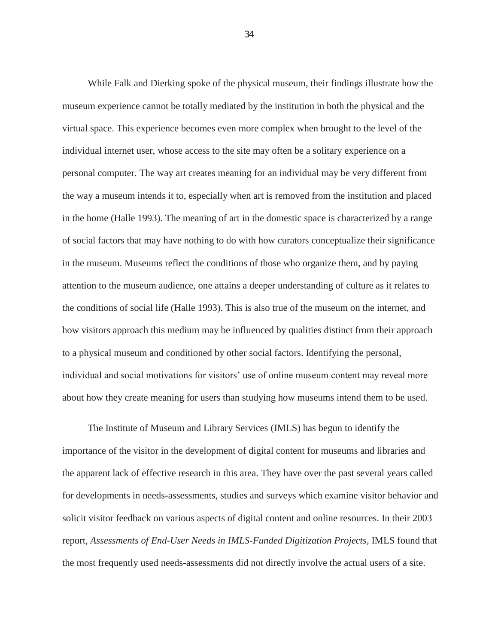While Falk and Dierking spoke of the physical museum, their findings illustrate how the museum experience cannot be totally mediated by the institution in both the physical and the virtual space. This experience becomes even more complex when brought to the level of the individual internet user, whose access to the site may often be a solitary experience on a personal computer. The way art creates meaning for an individual may be very different from the way a museum intends it to, especially when art is removed from the institution and placed in the home (Halle 1993). The meaning of art in the domestic space is characterized by a range of social factors that may have nothing to do with how curators conceptualize their significance in the museum. Museums reflect the conditions of those who organize them, and by paying attention to the museum audience, one attains a deeper understanding of culture as it relates to the conditions of social life (Halle 1993). This is also true of the museum on the internet, and how visitors approach this medium may be influenced by qualities distinct from their approach to a physical museum and conditioned by other social factors. Identifying the personal, individual and social motivations for visitors' use of online museum content may reveal more about how they create meaning for users than studying how museums intend them to be used.

The Institute of Museum and Library Services (IMLS) has begun to identify the importance of the visitor in the development of digital content for museums and libraries and the apparent lack of effective research in this area. They have over the past several years called for developments in needs-assessments, studies and surveys which examine visitor behavior and solicit visitor feedback on various aspects of digital content and online resources. In their 2003 report, *Assessments of End-User Needs in IMLS-Funded Digitization Projects*, IMLS found that the most frequently used needs-assessments did not directly involve the actual users of a site.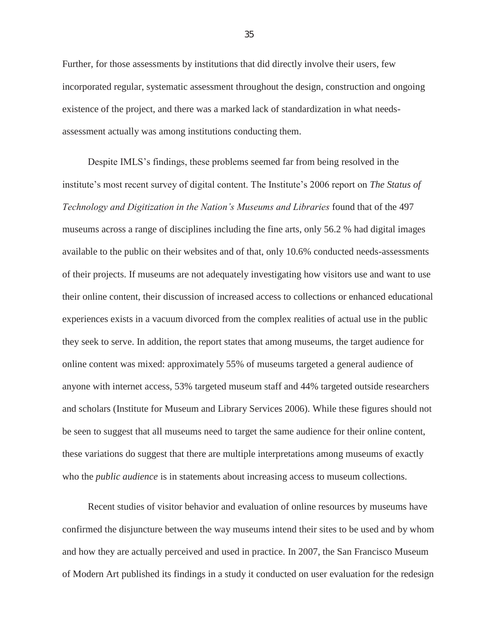Further, for those assessments by institutions that did directly involve their users, few incorporated regular, systematic assessment throughout the design, construction and ongoing existence of the project, and there was a marked lack of standardization in what needsassessment actually was among institutions conducting them.

Despite IMLS"s findings, these problems seemed far from being resolved in the institute's most recent survey of digital content. The Institute's 2006 report on *The Status of Technology and Digitization in the Nation's Museums and Libraries* found that of the 497 museums across a range of disciplines including the fine arts, only 56.2 % had digital images available to the public on their websites and of that, only 10.6% conducted needs-assessments of their projects. If museums are not adequately investigating how visitors use and want to use their online content, their discussion of increased access to collections or enhanced educational experiences exists in a vacuum divorced from the complex realities of actual use in the public they seek to serve. In addition, the report states that among museums, the target audience for online content was mixed: approximately 55% of museums targeted a general audience of anyone with internet access, 53% targeted museum staff and 44% targeted outside researchers and scholars (Institute for Museum and Library Services 2006). While these figures should not be seen to suggest that all museums need to target the same audience for their online content, these variations do suggest that there are multiple interpretations among museums of exactly who the *public audience* is in statements about increasing access to museum collections.

Recent studies of visitor behavior and evaluation of online resources by museums have confirmed the disjuncture between the way museums intend their sites to be used and by whom and how they are actually perceived and used in practice. In 2007, the San Francisco Museum of Modern Art published its findings in a study it conducted on user evaluation for the redesign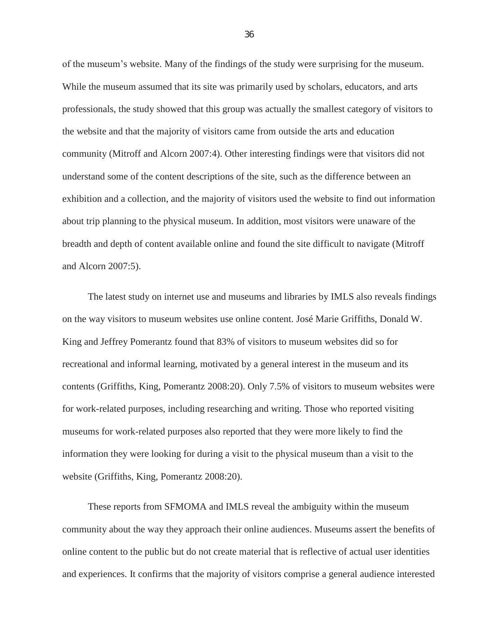of the museum"s website. Many of the findings of the study were surprising for the museum. While the museum assumed that its site was primarily used by scholars, educators, and arts professionals, the study showed that this group was actually the smallest category of visitors to the website and that the majority of visitors came from outside the arts and education community (Mitroff and Alcorn 2007:4). Other interesting findings were that visitors did not understand some of the content descriptions of the site, such as the difference between an exhibition and a collection, and the majority of visitors used the website to find out information about trip planning to the physical museum. In addition, most visitors were unaware of the breadth and depth of content available online and found the site difficult to navigate (Mitroff and Alcorn 2007:5).

The latest study on internet use and museums and libraries by IMLS also reveals findings on the way visitors to museum websites use online content. José Marie Griffiths, Donald W. King and Jeffrey Pomerantz found that 83% of visitors to museum websites did so for recreational and informal learning, motivated by a general interest in the museum and its contents (Griffiths, King, Pomerantz 2008:20). Only 7.5% of visitors to museum websites were for work-related purposes, including researching and writing. Those who reported visiting museums for work-related purposes also reported that they were more likely to find the information they were looking for during a visit to the physical museum than a visit to the website (Griffiths, King, Pomerantz 2008:20).

These reports from SFMOMA and IMLS reveal the ambiguity within the museum community about the way they approach their online audiences. Museums assert the benefits of online content to the public but do not create material that is reflective of actual user identities and experiences. It confirms that the majority of visitors comprise a general audience interested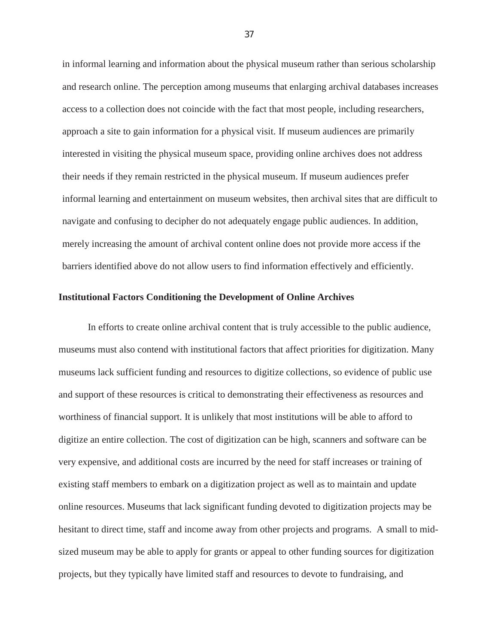in informal learning and information about the physical museum rather than serious scholarship and research online. The perception among museums that enlarging archival databases increases access to a collection does not coincide with the fact that most people, including researchers, approach a site to gain information for a physical visit. If museum audiences are primarily interested in visiting the physical museum space, providing online archives does not address their needs if they remain restricted in the physical museum. If museum audiences prefer informal learning and entertainment on museum websites, then archival sites that are difficult to navigate and confusing to decipher do not adequately engage public audiences. In addition, merely increasing the amount of archival content online does not provide more access if the barriers identified above do not allow users to find information effectively and efficiently.

#### **Institutional Factors Conditioning the Development of Online Archives**

In efforts to create online archival content that is truly accessible to the public audience, museums must also contend with institutional factors that affect priorities for digitization. Many museums lack sufficient funding and resources to digitize collections, so evidence of public use and support of these resources is critical to demonstrating their effectiveness as resources and worthiness of financial support. It is unlikely that most institutions will be able to afford to digitize an entire collection. The cost of digitization can be high, scanners and software can be very expensive, and additional costs are incurred by the need for staff increases or training of existing staff members to embark on a digitization project as well as to maintain and update online resources. Museums that lack significant funding devoted to digitization projects may be hesitant to direct time, staff and income away from other projects and programs. A small to midsized museum may be able to apply for grants or appeal to other funding sources for digitization projects, but they typically have limited staff and resources to devote to fundraising, and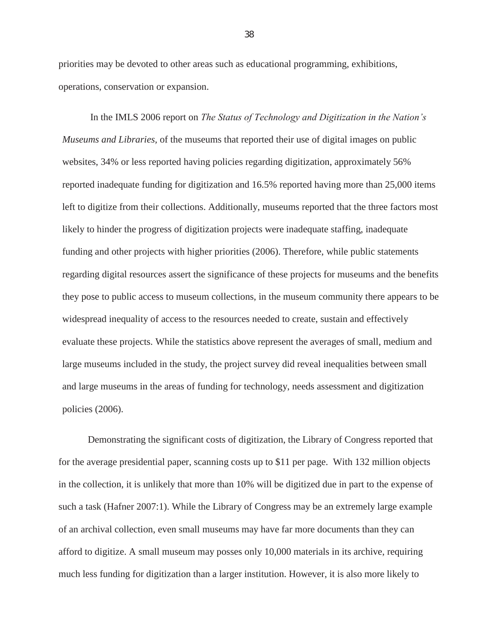priorities may be devoted to other areas such as educational programming, exhibitions, operations, conservation or expansion.

In the IMLS 2006 report on *The Status of Technology and Digitization in the Nation's Museums and Libraries,* of the museums that reported their use of digital images on public websites, 34% or less reported having policies regarding digitization, approximately 56% reported inadequate funding for digitization and 16.5% reported having more than 25,000 items left to digitize from their collections. Additionally, museums reported that the three factors most likely to hinder the progress of digitization projects were inadequate staffing, inadequate funding and other projects with higher priorities (2006). Therefore, while public statements regarding digital resources assert the significance of these projects for museums and the benefits they pose to public access to museum collections, in the museum community there appears to be widespread inequality of access to the resources needed to create, sustain and effectively evaluate these projects. While the statistics above represent the averages of small, medium and large museums included in the study, the project survey did reveal inequalities between small and large museums in the areas of funding for technology, needs assessment and digitization policies (2006).

Demonstrating the significant costs of digitization, the Library of Congress reported that for the average presidential paper, scanning costs up to \$11 per page. With 132 million objects in the collection, it is unlikely that more than 10% will be digitized due in part to the expense of such a task (Hafner 2007:1). While the Library of Congress may be an extremely large example of an archival collection, even small museums may have far more documents than they can afford to digitize. A small museum may posses only 10,000 materials in its archive, requiring much less funding for digitization than a larger institution. However, it is also more likely to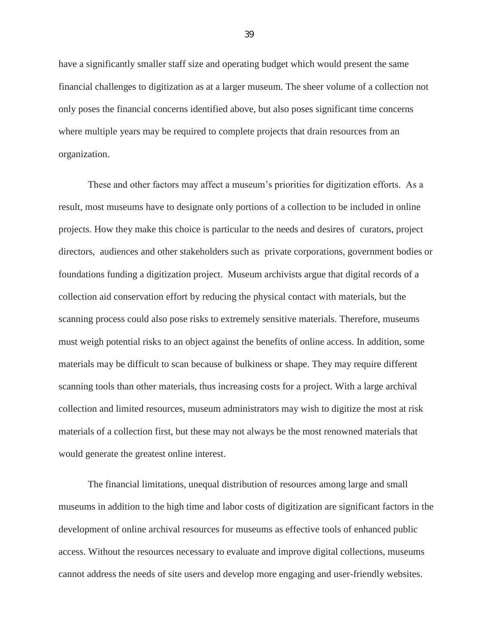have a significantly smaller staff size and operating budget which would present the same financial challenges to digitization as at a larger museum. The sheer volume of a collection not only poses the financial concerns identified above, but also poses significant time concerns where multiple years may be required to complete projects that drain resources from an organization.

These and other factors may affect a museum"s priorities for digitization efforts. As a result, most museums have to designate only portions of a collection to be included in online projects. How they make this choice is particular to the needs and desires of curators, project directors, audiences and other stakeholders such as private corporations, government bodies or foundations funding a digitization project. Museum archivists argue that digital records of a collection aid conservation effort by reducing the physical contact with materials, but the scanning process could also pose risks to extremely sensitive materials. Therefore, museums must weigh potential risks to an object against the benefits of online access. In addition, some materials may be difficult to scan because of bulkiness or shape. They may require different scanning tools than other materials, thus increasing costs for a project. With a large archival collection and limited resources, museum administrators may wish to digitize the most at risk materials of a collection first, but these may not always be the most renowned materials that would generate the greatest online interest.

The financial limitations, unequal distribution of resources among large and small museums in addition to the high time and labor costs of digitization are significant factors in the development of online archival resources for museums as effective tools of enhanced public access. Without the resources necessary to evaluate and improve digital collections, museums cannot address the needs of site users and develop more engaging and user-friendly websites.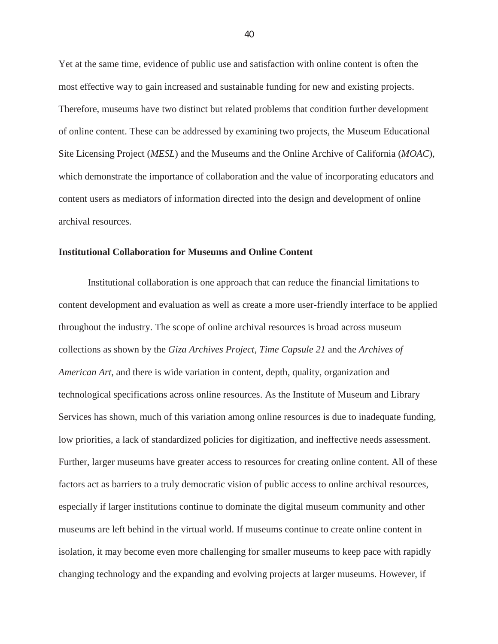Yet at the same time, evidence of public use and satisfaction with online content is often the most effective way to gain increased and sustainable funding for new and existing projects. Therefore, museums have two distinct but related problems that condition further development of online content. These can be addressed by examining two projects, the Museum Educational Site Licensing Project (*MESL*) and the Museums and the Online Archive of California (*MOAC*), which demonstrate the importance of collaboration and the value of incorporating educators and content users as mediators of information directed into the design and development of online archival resources.

#### **Institutional Collaboration for Museums and Online Content**

Institutional collaboration is one approach that can reduce the financial limitations to content development and evaluation as well as create a more user-friendly interface to be applied throughout the industry. The scope of online archival resources is broad across museum collections as shown by the *Giza Archives Project*, *Time Capsule 21* and the *Archives of American Art*, and there is wide variation in content, depth, quality, organization and technological specifications across online resources. As the Institute of Museum and Library Services has shown, much of this variation among online resources is due to inadequate funding, low priorities, a lack of standardized policies for digitization, and ineffective needs assessment. Further, larger museums have greater access to resources for creating online content. All of these factors act as barriers to a truly democratic vision of public access to online archival resources, especially if larger institutions continue to dominate the digital museum community and other museums are left behind in the virtual world. If museums continue to create online content in isolation, it may become even more challenging for smaller museums to keep pace with rapidly changing technology and the expanding and evolving projects at larger museums. However, if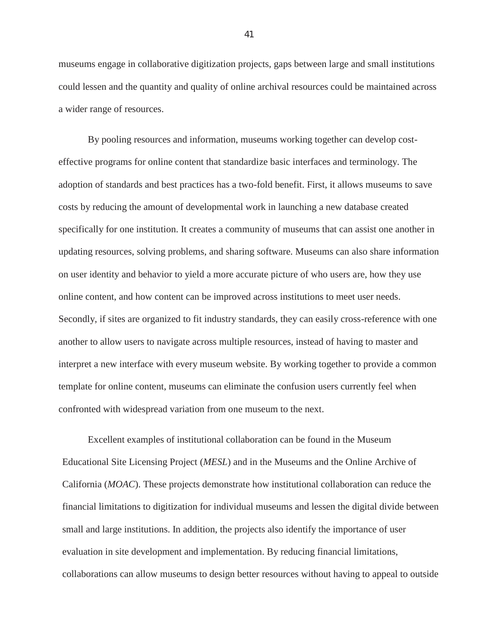museums engage in collaborative digitization projects, gaps between large and small institutions could lessen and the quantity and quality of online archival resources could be maintained across a wider range of resources.

By pooling resources and information, museums working together can develop costeffective programs for online content that standardize basic interfaces and terminology. The adoption of standards and best practices has a two-fold benefit. First, it allows museums to save costs by reducing the amount of developmental work in launching a new database created specifically for one institution. It creates a community of museums that can assist one another in updating resources, solving problems, and sharing software. Museums can also share information on user identity and behavior to yield a more accurate picture of who users are, how they use online content, and how content can be improved across institutions to meet user needs. Secondly, if sites are organized to fit industry standards, they can easily cross-reference with one another to allow users to navigate across multiple resources, instead of having to master and interpret a new interface with every museum website. By working together to provide a common template for online content, museums can eliminate the confusion users currently feel when confronted with widespread variation from one museum to the next.

Excellent examples of institutional collaboration can be found in the Museum Educational Site Licensing Project (*MESL*) and in the Museums and the Online Archive of California (*MOAC*). These projects demonstrate how institutional collaboration can reduce the financial limitations to digitization for individual museums and lessen the digital divide between small and large institutions. In addition, the projects also identify the importance of user evaluation in site development and implementation. By reducing financial limitations, collaborations can allow museums to design better resources without having to appeal to outside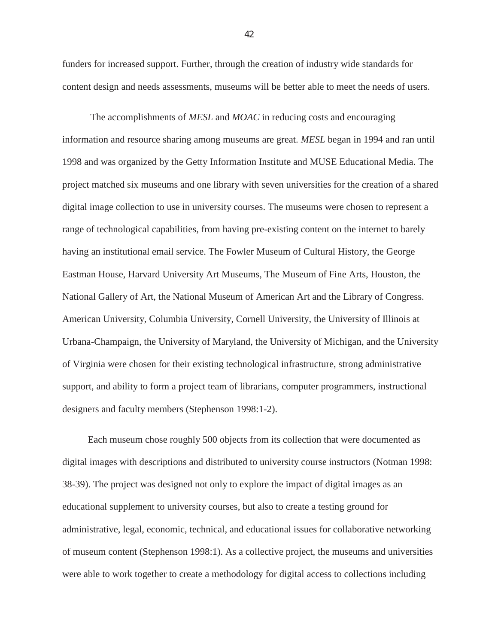funders for increased support. Further, through the creation of industry wide standards for content design and needs assessments, museums will be better able to meet the needs of users.

The accomplishments of *MESL* and *MOAC* in reducing costs and encouraging information and resource sharing among museums are great. *MESL* began in 1994 and ran until 1998 and was organized by the Getty Information Institute and MUSE Educational Media. The project matched six museums and one library with seven universities for the creation of a shared digital image collection to use in university courses. The museums were chosen to represent a range of technological capabilities, from having pre-existing content on the internet to barely having an institutional email service. The Fowler Museum of Cultural History, the George Eastman House, Harvard University Art Museums, The Museum of Fine Arts, Houston, the National Gallery of Art, the National Museum of American Art and the Library of Congress. American University, Columbia University, Cornell University, the University of Illinois at Urbana-Champaign, the University of Maryland, the University of Michigan, and the University of Virginia were chosen for their existing technological infrastructure, strong administrative support, and ability to form a project team of librarians, computer programmers, instructional designers and faculty members (Stephenson 1998:1-2).

Each museum chose roughly 500 objects from its collection that were documented as digital images with descriptions and distributed to university course instructors (Notman 1998: 38-39). The project was designed not only to explore the impact of digital images as an educational supplement to university courses, but also to create a testing ground for administrative, legal, economic, technical, and educational issues for collaborative networking of museum content (Stephenson 1998:1). As a collective project, the museums and universities were able to work together to create a methodology for digital access to collections including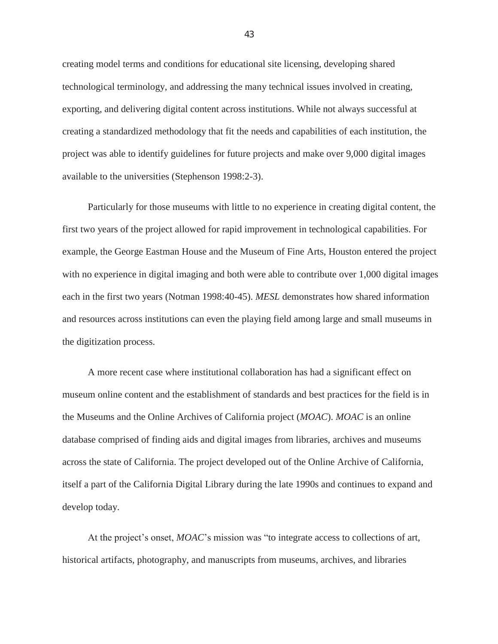creating model terms and conditions for educational site licensing, developing shared technological terminology, and addressing the many technical issues involved in creating, exporting, and delivering digital content across institutions. While not always successful at creating a standardized methodology that fit the needs and capabilities of each institution, the project was able to identify guidelines for future projects and make over 9,000 digital images available to the universities (Stephenson 1998:2-3).

Particularly for those museums with little to no experience in creating digital content, the first two years of the project allowed for rapid improvement in technological capabilities. For example, the George Eastman House and the Museum of Fine Arts, Houston entered the project with no experience in digital imaging and both were able to contribute over 1,000 digital images each in the first two years (Notman 1998:40-45). *MESL* demonstrates how shared information and resources across institutions can even the playing field among large and small museums in the digitization process.

A more recent case where institutional collaboration has had a significant effect on museum online content and the establishment of standards and best practices for the field is in the Museums and the Online Archives of California project (*MOAC*). *MOAC* is an online database comprised of finding aids and digital images from libraries, archives and museums across the state of California. The project developed out of the Online Archive of California, itself a part of the California Digital Library during the late 1990s and continues to expand and develop today.

At the project's onset, *MOAC*'s mission was "to integrate access to collections of art, historical artifacts, photography, and manuscripts from museums, archives, and libraries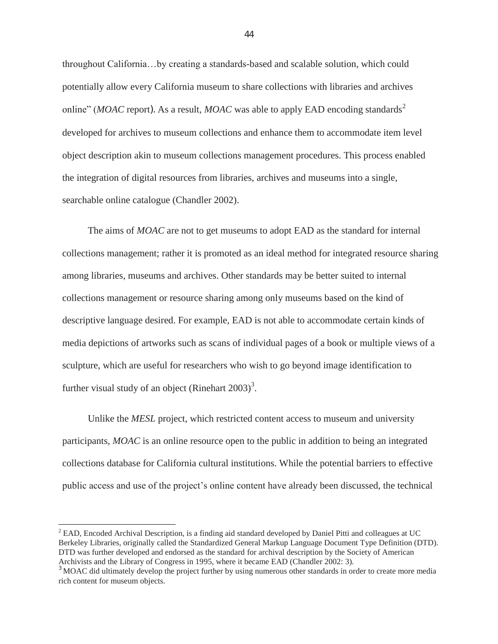throughout California…by creating a standards-based and scalable solution, which could potentially allow every California museum to share collections with libraries and archives online" (*MOAC* report). As a result, *MOAC* was able to apply EAD encoding standards<sup>2</sup> developed for archives to museum collections and enhance them to accommodate item level object description akin to museum collections management procedures. This process enabled the integration of digital resources from libraries, archives and museums into a single, searchable online catalogue (Chandler 2002).

The aims of *MOAC* are not to get museums to adopt EAD as the standard for internal collections management; rather it is promoted as an ideal method for integrated resource sharing among libraries, museums and archives. Other standards may be better suited to internal collections management or resource sharing among only museums based on the kind of descriptive language desired. For example, EAD is not able to accommodate certain kinds of media depictions of artworks such as scans of individual pages of a book or multiple views of a sculpture, which are useful for researchers who wish to go beyond image identification to further visual study of an object (Rinehart  $2003$ )<sup>3</sup>.

Unlike the *MESL* project, which restricted content access to museum and university participants, *MOAC* is an online resource open to the public in addition to being an integrated collections database for California cultural institutions. While the potential barriers to effective public access and use of the project's online content have already been discussed, the technical

<sup>2</sup> EAD, Encoded Archival Description, is a finding aid standard developed by Daniel Pitti and colleagues at UC Berkeley Libraries, originally called the Standardized General Markup Language Document Type Definition (DTD). DTD was further developed and endorsed as the standard for archival description by the Society of American Archivists and the Library of Congress in 1995, where it became EAD (Chandler 2002: 3).

l

 $3 \text{ MOAC}$  did ultimately develop the project further by using numerous other standards in order to create more media rich content for museum objects.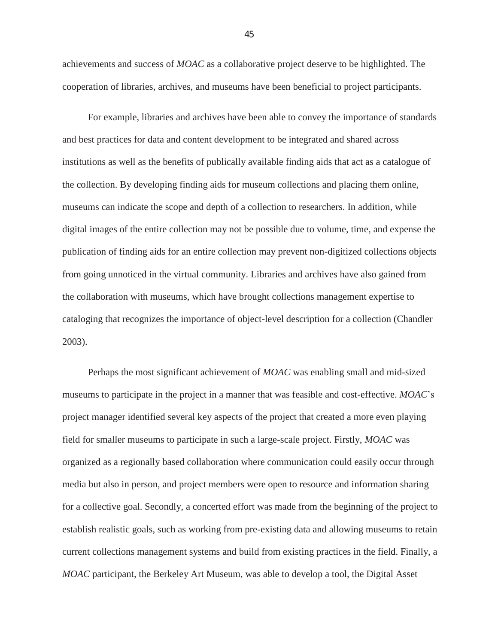achievements and success of *MOAC* as a collaborative project deserve to be highlighted. The cooperation of libraries, archives, and museums have been beneficial to project participants.

For example, libraries and archives have been able to convey the importance of standards and best practices for data and content development to be integrated and shared across institutions as well as the benefits of publically available finding aids that act as a catalogue of the collection. By developing finding aids for museum collections and placing them online, museums can indicate the scope and depth of a collection to researchers. In addition, while digital images of the entire collection may not be possible due to volume, time, and expense the publication of finding aids for an entire collection may prevent non-digitized collections objects from going unnoticed in the virtual community. Libraries and archives have also gained from the collaboration with museums, which have brought collections management expertise to cataloging that recognizes the importance of object-level description for a collection (Chandler 2003).

Perhaps the most significant achievement of *MOAC* was enabling small and mid-sized museums to participate in the project in a manner that was feasible and cost-effective. *MOAC*"s project manager identified several key aspects of the project that created a more even playing field for smaller museums to participate in such a large-scale project. Firstly, *MOAC* was organized as a regionally based collaboration where communication could easily occur through media but also in person, and project members were open to resource and information sharing for a collective goal. Secondly, a concerted effort was made from the beginning of the project to establish realistic goals, such as working from pre-existing data and allowing museums to retain current collections management systems and build from existing practices in the field. Finally, a *MOAC* participant, the Berkeley Art Museum, was able to develop a tool, the Digital Asset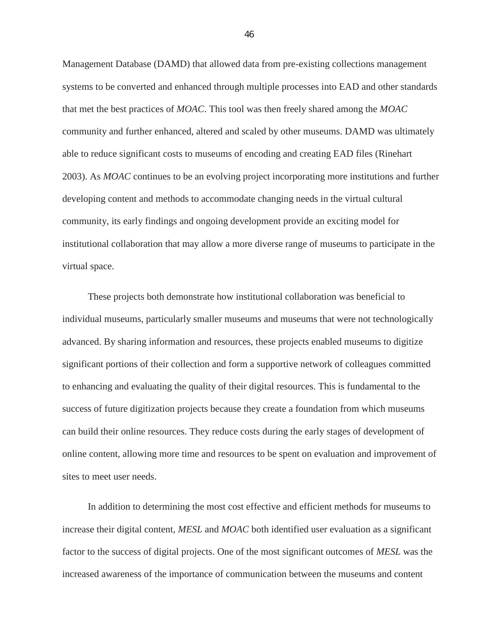Management Database (DAMD) that allowed data from pre-existing collections management systems to be converted and enhanced through multiple processes into EAD and other standards that met the best practices of *MOAC*. This tool was then freely shared among the *MOAC* community and further enhanced, altered and scaled by other museums. DAMD was ultimately able to reduce significant costs to museums of encoding and creating EAD files (Rinehart 2003). As *MOAC* continues to be an evolving project incorporating more institutions and further developing content and methods to accommodate changing needs in the virtual cultural community, its early findings and ongoing development provide an exciting model for institutional collaboration that may allow a more diverse range of museums to participate in the virtual space.

These projects both demonstrate how institutional collaboration was beneficial to individual museums, particularly smaller museums and museums that were not technologically advanced. By sharing information and resources, these projects enabled museums to digitize significant portions of their collection and form a supportive network of colleagues committed to enhancing and evaluating the quality of their digital resources. This is fundamental to the success of future digitization projects because they create a foundation from which museums can build their online resources. They reduce costs during the early stages of development of online content, allowing more time and resources to be spent on evaluation and improvement of sites to meet user needs.

In addition to determining the most cost effective and efficient methods for museums to increase their digital content, *MESL* and *MOAC* both identified user evaluation as a significant factor to the success of digital projects. One of the most significant outcomes of *MESL* was the increased awareness of the importance of communication between the museums and content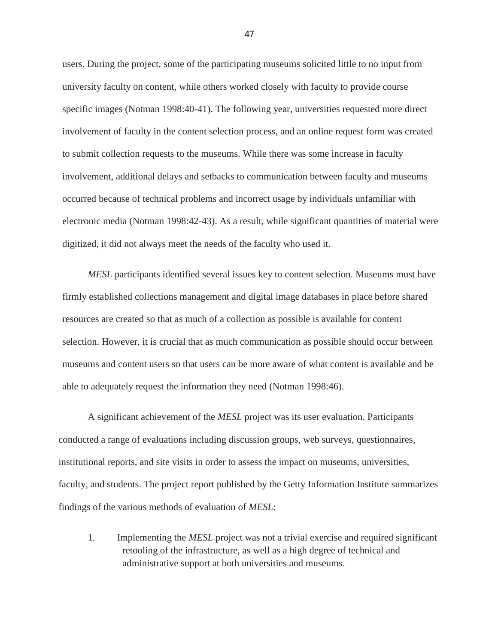users. During the project, some of the participating museums solicited little to no input from university faculty on content, while others worked closely with faculty to provide course specific images (Notman 1998:40-41). The following year, universities requested more direct involvement of faculty in the content selection process, and an online request form was created to submit collection requests to the museums. While there was some increase in faculty involvement, additional delays and setbacks to communication between faculty and museums occurred because of technical problems and incorrect usage by individuals unfamiliar with electronic media (Notman 1998:42-43). As a result, while significant quantities of material were digitized, it did not always meet the needs of the faculty who used it.

*MESL* participants identified several issues key to content selection. Museums must have firmly established collections management and digital image databases in place before shared resources are created so that as much of a collection as possible is available for content selection. However, it is crucial that as much communication as possible should occur between museums and content users so that users can be more aware of what content is available and be able to adequately request the information they need (Notman 1998:46).

A significant achievement of the *MESL* project was its user evaluation. Participants conducted a range of evaluations including discussion groups, web surveys, questionnaires, institutional reports, and site visits in order to assess the impact on museums, universities, faculty, and students. The project report published by the Getty Information Institute summarizes findings of the various methods of evaluation of *MESL*:

1. Implementing the *MESL* project was not a trivial exercise and required significant retooling of the infrastructure, as well as a high degree of technical and administrative support at both universities and museums.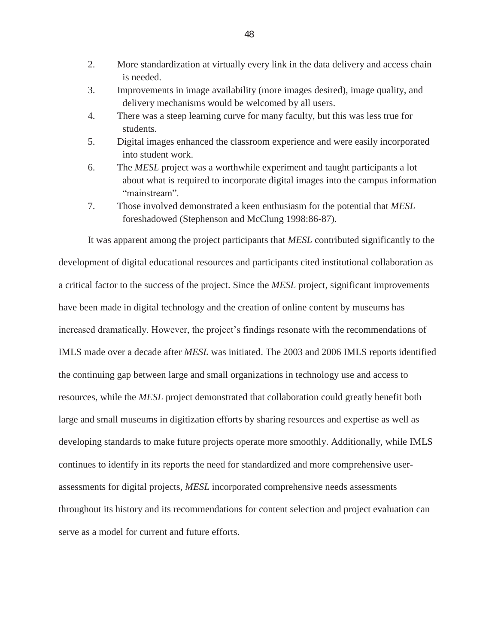- 2. More standardization at virtually every link in the data delivery and access chain is needed.
- 3. Improvements in image availability (more images desired), image quality, and delivery mechanisms would be welcomed by all users.
- 4. There was a steep learning curve for many faculty, but this was less true for students.
- 5. Digital images enhanced the classroom experience and were easily incorporated into student work.
- 6. The *MESL* project was a worthwhile experiment and taught participants a lot about what is required to incorporate digital images into the campus information "mainstream".
- 7. Those involved demonstrated a keen enthusiasm for the potential that *MESL* foreshadowed (Stephenson and McClung 1998:86-87).

It was apparent among the project participants that *MESL* contributed significantly to the development of digital educational resources and participants cited institutional collaboration as a critical factor to the success of the project. Since the *MESL* project, significant improvements have been made in digital technology and the creation of online content by museums has increased dramatically. However, the project's findings resonate with the recommendations of IMLS made over a decade after *MESL* was initiated. The 2003 and 2006 IMLS reports identified the continuing gap between large and small organizations in technology use and access to resources, while the *MESL* project demonstrated that collaboration could greatly benefit both large and small museums in digitization efforts by sharing resources and expertise as well as developing standards to make future projects operate more smoothly. Additionally, while IMLS continues to identify in its reports the need for standardized and more comprehensive userassessments for digital projects, *MESL* incorporated comprehensive needs assessments throughout its history and its recommendations for content selection and project evaluation can serve as a model for current and future efforts.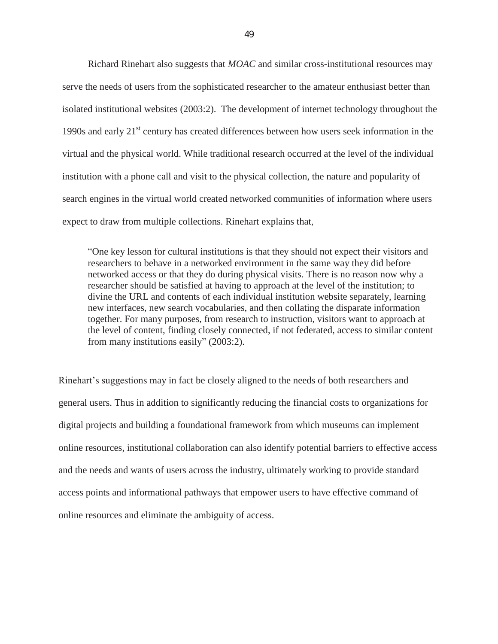Richard Rinehart also suggests that *MOAC* and similar cross-institutional resources may serve the needs of users from the sophisticated researcher to the amateur enthusiast better than isolated institutional websites (2003:2). The development of internet technology throughout the 1990s and early  $21<sup>st</sup>$  century has created differences between how users seek information in the virtual and the physical world. While traditional research occurred at the level of the individual institution with a phone call and visit to the physical collection, the nature and popularity of search engines in the virtual world created networked communities of information where users expect to draw from multiple collections. Rinehart explains that,

"One key lesson for cultural institutions is that they should not expect their visitors and researchers to behave in a networked environment in the same way they did before networked access or that they do during physical visits. There is no reason now why a researcher should be satisfied at having to approach at the level of the institution; to divine the URL and contents of each individual institution website separately, learning new interfaces, new search vocabularies, and then collating the disparate information together. For many purposes, from research to instruction, visitors want to approach at the level of content, finding closely connected, if not federated, access to similar content from many institutions easily" (2003:2).

Rinehart's suggestions may in fact be closely aligned to the needs of both researchers and general users. Thus in addition to significantly reducing the financial costs to organizations for digital projects and building a foundational framework from which museums can implement online resources, institutional collaboration can also identify potential barriers to effective access and the needs and wants of users across the industry, ultimately working to provide standard access points and informational pathways that empower users to have effective command of online resources and eliminate the ambiguity of access.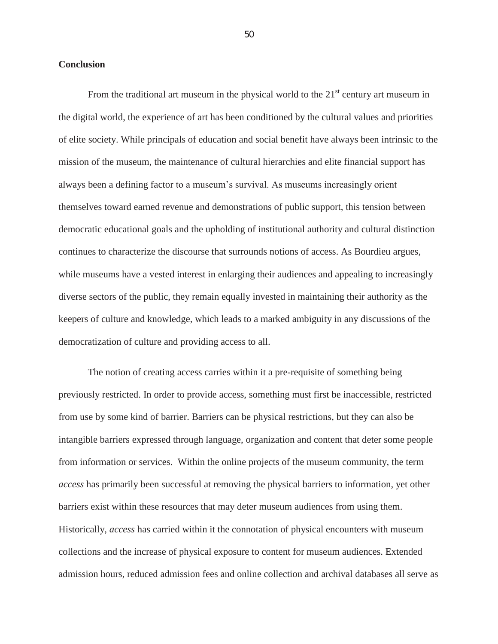#### **Conclusion**

From the traditional art museum in the physical world to the  $21<sup>st</sup>$  century art museum in the digital world, the experience of art has been conditioned by the cultural values and priorities of elite society. While principals of education and social benefit have always been intrinsic to the mission of the museum, the maintenance of cultural hierarchies and elite financial support has always been a defining factor to a museum"s survival. As museums increasingly orient themselves toward earned revenue and demonstrations of public support, this tension between democratic educational goals and the upholding of institutional authority and cultural distinction continues to characterize the discourse that surrounds notions of access. As Bourdieu argues, while museums have a vested interest in enlarging their audiences and appealing to increasingly diverse sectors of the public, they remain equally invested in maintaining their authority as the keepers of culture and knowledge, which leads to a marked ambiguity in any discussions of the democratization of culture and providing access to all.

The notion of creating access carries within it a pre-requisite of something being previously restricted. In order to provide access, something must first be inaccessible, restricted from use by some kind of barrier. Barriers can be physical restrictions, but they can also be intangible barriers expressed through language, organization and content that deter some people from information or services. Within the online projects of the museum community, the term *access* has primarily been successful at removing the physical barriers to information, yet other barriers exist within these resources that may deter museum audiences from using them. Historically, *access* has carried within it the connotation of physical encounters with museum collections and the increase of physical exposure to content for museum audiences. Extended admission hours, reduced admission fees and online collection and archival databases all serve as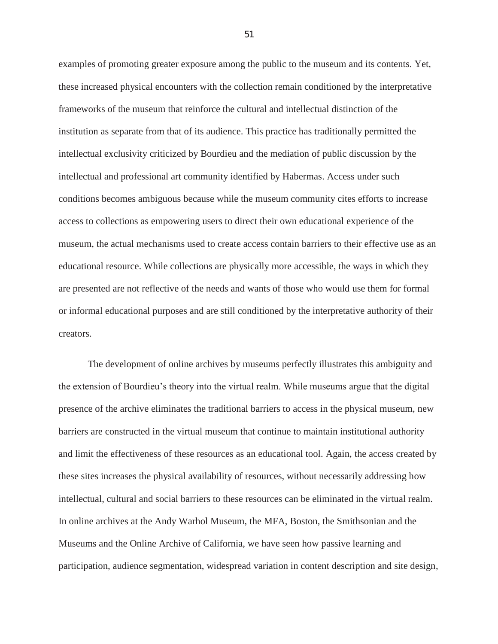examples of promoting greater exposure among the public to the museum and its contents. Yet, these increased physical encounters with the collection remain conditioned by the interpretative frameworks of the museum that reinforce the cultural and intellectual distinction of the institution as separate from that of its audience. This practice has traditionally permitted the intellectual exclusivity criticized by Bourdieu and the mediation of public discussion by the intellectual and professional art community identified by Habermas. Access under such conditions becomes ambiguous because while the museum community cites efforts to increase access to collections as empowering users to direct their own educational experience of the museum, the actual mechanisms used to create access contain barriers to their effective use as an educational resource. While collections are physically more accessible, the ways in which they are presented are not reflective of the needs and wants of those who would use them for formal or informal educational purposes and are still conditioned by the interpretative authority of their creators.

The development of online archives by museums perfectly illustrates this ambiguity and the extension of Bourdieu"s theory into the virtual realm. While museums argue that the digital presence of the archive eliminates the traditional barriers to access in the physical museum, new barriers are constructed in the virtual museum that continue to maintain institutional authority and limit the effectiveness of these resources as an educational tool. Again, the access created by these sites increases the physical availability of resources, without necessarily addressing how intellectual, cultural and social barriers to these resources can be eliminated in the virtual realm. In online archives at the Andy Warhol Museum, the MFA, Boston, the Smithsonian and the Museums and the Online Archive of California, we have seen how passive learning and participation, audience segmentation, widespread variation in content description and site design,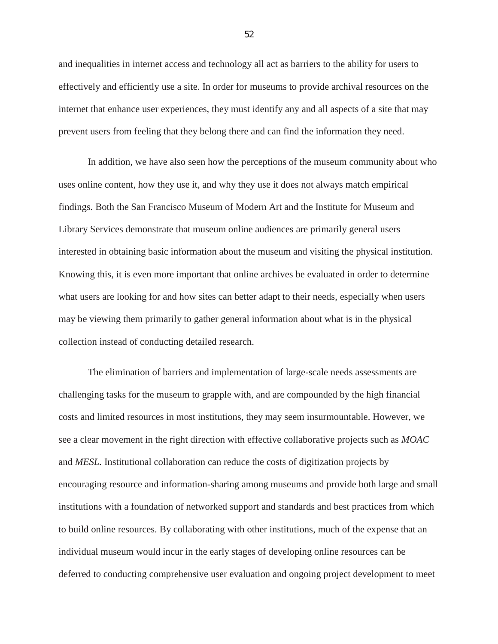and inequalities in internet access and technology all act as barriers to the ability for users to effectively and efficiently use a site. In order for museums to provide archival resources on the internet that enhance user experiences, they must identify any and all aspects of a site that may prevent users from feeling that they belong there and can find the information they need.

In addition, we have also seen how the perceptions of the museum community about who uses online content, how they use it, and why they use it does not always match empirical findings. Both the San Francisco Museum of Modern Art and the Institute for Museum and Library Services demonstrate that museum online audiences are primarily general users interested in obtaining basic information about the museum and visiting the physical institution. Knowing this, it is even more important that online archives be evaluated in order to determine what users are looking for and how sites can better adapt to their needs, especially when users may be viewing them primarily to gather general information about what is in the physical collection instead of conducting detailed research.

The elimination of barriers and implementation of large-scale needs assessments are challenging tasks for the museum to grapple with, and are compounded by the high financial costs and limited resources in most institutions, they may seem insurmountable. However, we see a clear movement in the right direction with effective collaborative projects such as *MOAC* and *MESL.* Institutional collaboration can reduce the costs of digitization projects by encouraging resource and information-sharing among museums and provide both large and small institutions with a foundation of networked support and standards and best practices from which to build online resources. By collaborating with other institutions, much of the expense that an individual museum would incur in the early stages of developing online resources can be deferred to conducting comprehensive user evaluation and ongoing project development to meet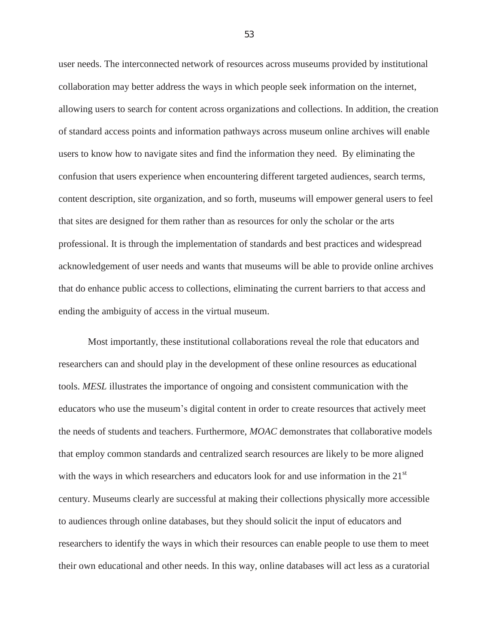user needs. The interconnected network of resources across museums provided by institutional collaboration may better address the ways in which people seek information on the internet, allowing users to search for content across organizations and collections. In addition, the creation of standard access points and information pathways across museum online archives will enable users to know how to navigate sites and find the information they need. By eliminating the confusion that users experience when encountering different targeted audiences, search terms, content description, site organization, and so forth, museums will empower general users to feel that sites are designed for them rather than as resources for only the scholar or the arts professional. It is through the implementation of standards and best practices and widespread acknowledgement of user needs and wants that museums will be able to provide online archives that do enhance public access to collections, eliminating the current barriers to that access and ending the ambiguity of access in the virtual museum.

Most importantly, these institutional collaborations reveal the role that educators and researchers can and should play in the development of these online resources as educational tools. *MESL* illustrates the importance of ongoing and consistent communication with the educators who use the museum"s digital content in order to create resources that actively meet the needs of students and teachers. Furthermore, *MOAC* demonstrates that collaborative models that employ common standards and centralized search resources are likely to be more aligned with the ways in which researchers and educators look for and use information in the 21<sup>st</sup> century. Museums clearly are successful at making their collections physically more accessible to audiences through online databases, but they should solicit the input of educators and researchers to identify the ways in which their resources can enable people to use them to meet their own educational and other needs. In this way, online databases will act less as a curatorial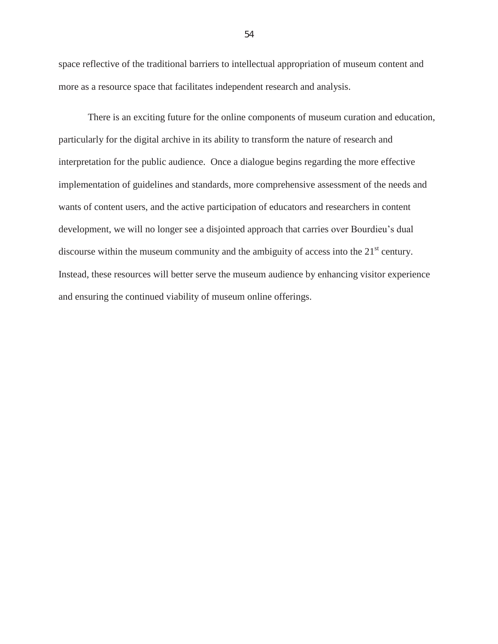space reflective of the traditional barriers to intellectual appropriation of museum content and more as a resource space that facilitates independent research and analysis.

There is an exciting future for the online components of museum curation and education, particularly for the digital archive in its ability to transform the nature of research and interpretation for the public audience. Once a dialogue begins regarding the more effective implementation of guidelines and standards, more comprehensive assessment of the needs and wants of content users, and the active participation of educators and researchers in content development, we will no longer see a disjointed approach that carries over Bourdieu"s dual discourse within the museum community and the ambiguity of access into the  $21<sup>st</sup>$  century. Instead, these resources will better serve the museum audience by enhancing visitor experience and ensuring the continued viability of museum online offerings.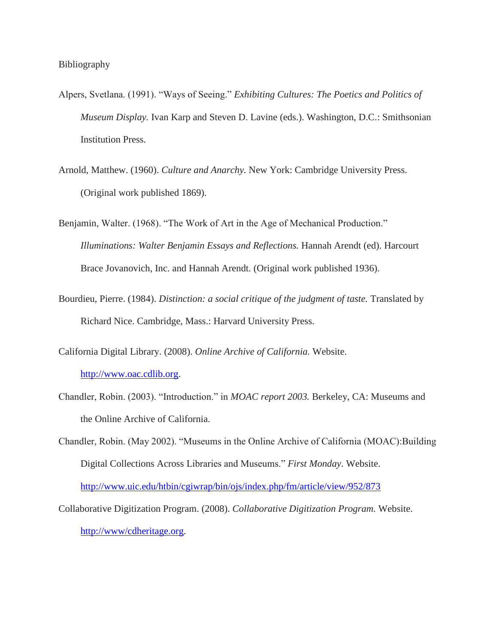Bibliography

- Alpers, Svetlana. (1991). "Ways of Seeing." *Exhibiting Cultures: The Poetics and Politics of Museum Display.* Ivan Karp and Steven D. Lavine (eds.). Washington, D.C.: Smithsonian Institution Press.
- Arnold, Matthew. (1960). *Culture and Anarchy.* New York: Cambridge University Press. (Original work published 1869).
- Benjamin, Walter. (1968). "The Work of Art in the Age of Mechanical Production." *Illuminations: Walter Benjamin Essays and Reflections.* Hannah Arendt (ed). Harcourt Brace Jovanovich, Inc. and Hannah Arendt. (Original work published 1936).
- Bourdieu, Pierre. (1984). *Distinction: a social critique of the judgment of taste.* Translated by Richard Nice. Cambridge, Mass.: Harvard University Press.
- California Digital Library. (2008). *Online Archive of California.* Website. [http://www.oac.cdlib.org.](http://www.oac.cdlib.org/)
- Chandler, Robin. (2003). "Introduction." in *MOAC report 2003.* Berkeley, CA: Museums and the Online Archive of California.

Chandler, Robin. (May 2002). "Museums in the Online Archive of California (MOAC):Building Digital Collections Across Libraries and Museums." *First Monday*. Website. <http://www.uic.edu/htbin/cgiwrap/bin/ojs/index.php/fm/article/view/952/873>

Collaborative Digitization Program. (2008). *Collaborative Digitization Program.* Website. [http://www/cdheritage.org.](http://www/cdheritage.org)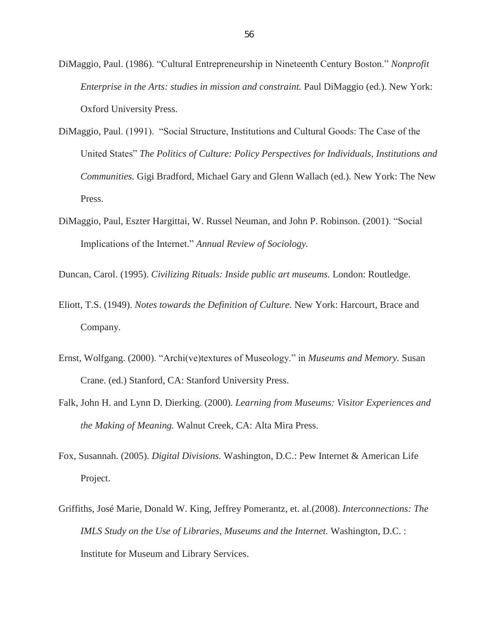- DiMaggio, Paul. (1986). "Cultural Entrepreneurship in Nineteenth Century Boston." *Nonprofit Enterprise in the Arts: studies in mission and constraint.* Paul DiMaggio (ed.). New York: Oxford University Press.
- DiMaggio, Paul. (1991). "Social Structure, Institutions and Cultural Goods: The Case of the United States" *The Politics of Culture: Policy Perspectives for Individuals, Institutions and Communities.* Gigi Bradford, Michael Gary and Glenn Wallach (ed.). New York: The New Press.
- DiMaggio, Paul, Eszter Hargittai, W. Russel Neuman, and John P. Robinson. (2001). "Social Implications of the Internet." *Annual Review of Sociology.*

Duncan, Carol. (1995). *Civilizing Rituals: Inside public art museums.* London: Routledge.

- Eliott, T.S. (1949). *Notes towards the Definition of Culture.* New York: Harcourt, Brace and Company.
- Ernst, Wolfgang. (2000). "Archi(ve)textures of Museology." in *Museums and Memory.* Susan Crane. (ed.) Stanford, CA: Stanford University Press.
- Falk, John H. and Lynn D. Dierking. (2000). *Learning from Museums: Visitor Experiences and the Making of Meaning.* Walnut Creek, CA: Alta Mira Press.
- Fox, Susannah. (2005). *Digital Divisions.* Washington, D.C.: Pew Internet & American Life Project.
- Griffiths, José Marie, Donald W. King, Jeffrey Pomerantz, et. al.(2008). *Interconnections: The IMLS Study on the Use of Libraries, Museums and the Internet.* Washington, D.C. : Institute for Museum and Library Services.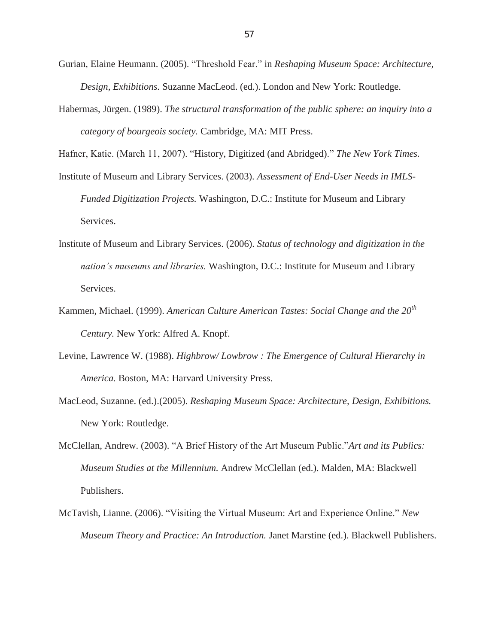- Gurian, Elaine Heumann. (2005). "Threshold Fear." in *Reshaping Museum Space: Architecture, Design, Exhibitions.* Suzanne MacLeod. (ed.). London and New York: Routledge.
- Habermas, Jürgen. (1989). *The structural transformation of the public sphere: an inquiry into a category of bourgeois society.* Cambridge, MA: MIT Press.

Hafner, Katie. (March 11, 2007). "History, Digitized (and Abridged)." *The New York Times.*

Institute of Museum and Library Services. (2003). *Assessment of End-User Needs in IMLS-Funded Digitization Projects.* Washington, D.C.: Institute for Museum and Library Services.

- Institute of Museum and Library Services. (2006). *Status of technology and digitization in the nation's museums and libraries.* Washington, D.C.: Institute for Museum and Library Services.
- Kammen, Michael. (1999). *American Culture American Tastes: Social Change and the 20th Century.* New York: Alfred A. Knopf.
- Levine, Lawrence W. (1988). *Highbrow/ Lowbrow : The Emergence of Cultural Hierarchy in America.* Boston, MA: Harvard University Press.
- MacLeod, Suzanne. (ed.).(2005). *Reshaping Museum Space: Architecture, Design, Exhibitions.* New York: Routledge.
- McClellan, Andrew. (2003). "A Brief History of the Art Museum Public."*Art and its Publics: Museum Studies at the Millennium.* Andrew McClellan (ed.). Malden, MA: Blackwell Publishers.
- McTavish, Lianne. (2006). "Visiting the Virtual Museum: Art and Experience Online." *New Museum Theory and Practice: An Introduction.* Janet Marstine (ed.). Blackwell Publishers.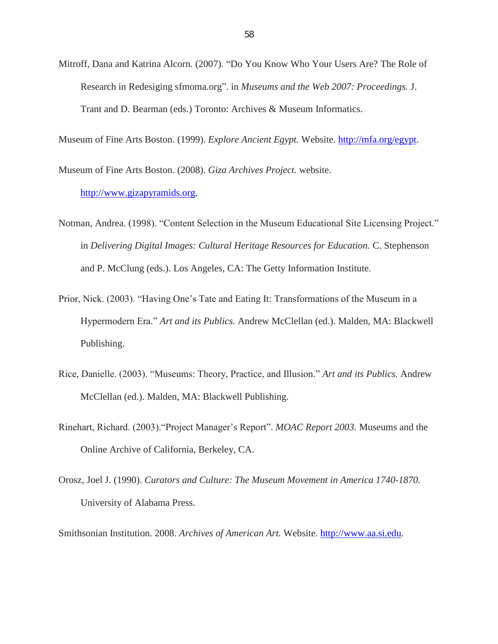Mitroff, Dana and Katrina Alcorn. (2007). "Do You Know Who Your Users Are? The Role of Research in Redesiging sfmoma.org". in *Museums and the Web 2007: Proceedings.* J. Trant and D. Bearman (eds.) Toronto: Archives & Museum Informatics.

Museum of Fine Arts Boston. (1999). *Explore Ancient Egypt.* Website. [http://mfa.org/egypt.](http://mfa.org/egypt)

Museum of Fine Arts Boston. (2008). *Giza Archives Project.* website. [http://www.gizapyramids.org.](http://www.gizapyramids.org/)

- Notman, Andrea. (1998). "Content Selection in the Museum Educational Site Licensing Project." in *Delivering Digital Images: Cultural Heritage Resources for Education.* C. Stephenson and P. McClung (eds.). Los Angeles, CA: The Getty Information Institute.
- Prior, Nick. (2003). "Having One"s Tate and Eating It: Transformations of the Museum in a Hypermodern Era." *Art and its Publics.* Andrew McClellan (ed.). Malden, MA: Blackwell Publishing.
- Rice, Danielle. (2003). "Museums: Theory, Practice, and Illusion." *Art and its Publics.* Andrew McClellan (ed.). Malden, MA: Blackwell Publishing.
- Rinehart, Richard. (2003)."Project Manager"s Report". *MOAC Report 2003.* Museums and the Online Archive of California, Berkeley, CA.
- Orosz, Joel J. (1990). *Curators and Culture: The Museum Movement in America 1740-1870.* University of Alabama Press.

Smithsonian Institution. 2008. *Archives of American Art.* Website. [http://www.aa.si.edu.](http://www.aa.si.edu/)